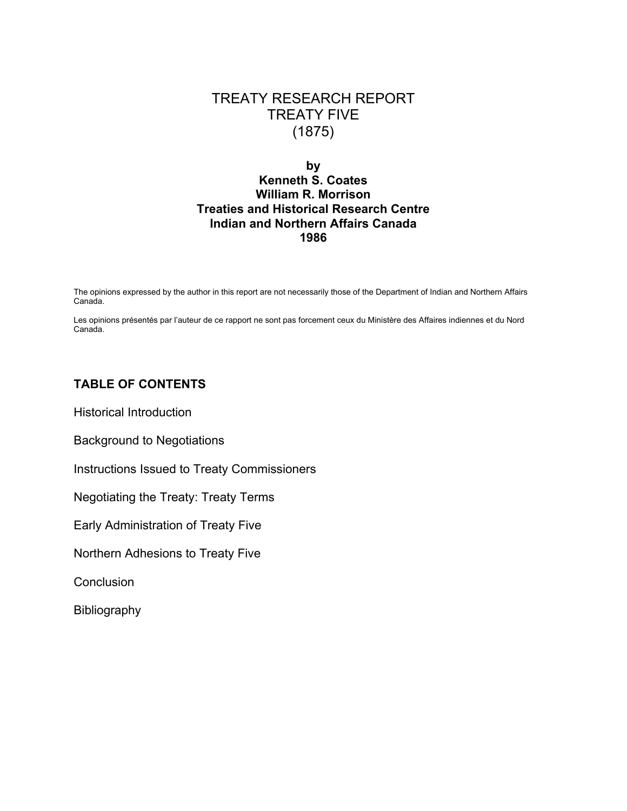# TREATY RESEARCH REPORT TREATY FIVE (1875)

# **by Kenneth S. Coates William R. Morrison Treaties and Historical Research Centre Indian and Northern Affairs Canada 1986**

The opinions expressed by the author in this report are not necessarily those of the Department of Indian and Northern Affairs Canada.

Les opinions présentés par l'auteur de ce rapport ne sont pas forcement ceux du Ministère des Affaires indiennes et du Nord Canada.

# **TABLE OF CONTENTS**

Historical Introduction

Background to Negotiations

Instructions Issued to Treaty Commissioners

Negotiating the Treaty: Treaty Terms

Early Administration of Treaty Five

Northern Adhesions to Treaty Five

**Conclusion** 

Bibliography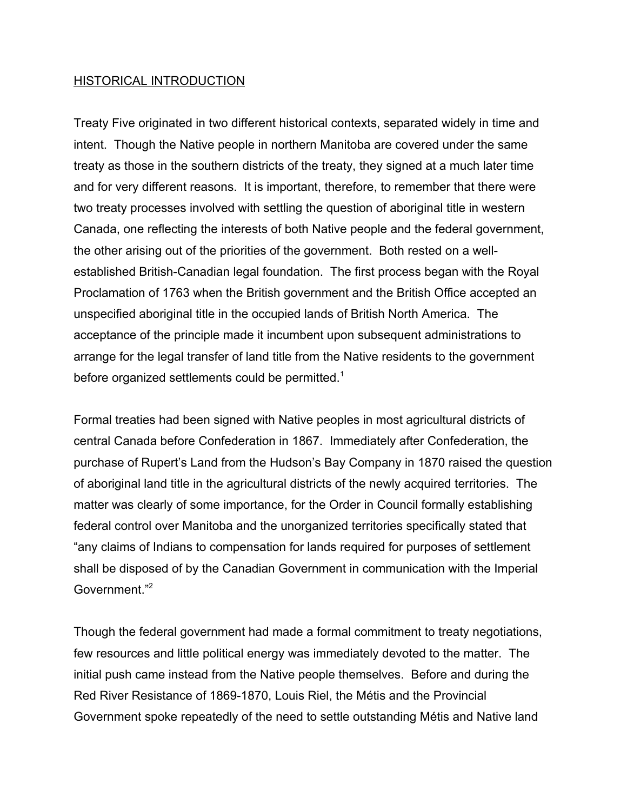## HISTORICAL INTRODUCTION

Treaty Five originated in two different historical contexts, separated widely in time and intent. Though the Native people in northern Manitoba are covered under the same treaty as those in the southern districts of the treaty, they signed at a much later time and for very different reasons. It is important, therefore, to remember that there were two treaty processes involved with settling the question of aboriginal title in western Canada, one reflecting the interests of both Native people and the federal government, the other arising out of the priorities of the government. Both rested on a wellestablished British-Canadian legal foundation. The first process began with the Royal Proclamation of 1763 when the British government and the British Office accepted an unspecified aboriginal title in the occupied lands of British North America. The acceptance of the principle made it incumbent upon subsequent administrations to arrange for the legal transfer of land title from the Native residents to the government before organized settlements could be permitted.<sup>1</sup>

Formal treaties had been signed with Native peoples in most agricultural districts of central Canada before Confederation in 1867. Immediately after Confederation, the purchase of Rupert's Land from the Hudson's Bay Company in 1870 raised the question of aboriginal land title in the agricultural districts of the newly acquired territories. The matter was clearly of some importance, for the Order in Council formally establishing federal control over Manitoba and the unorganized territories specifically stated that "any claims of Indians to compensation for lands required for purposes of settlement shall be disposed of by the Canadian Government in communication with the Imperial Government<sup>"2</sup>

Though the federal government had made a formal commitment to treaty negotiations, few resources and little political energy was immediately devoted to the matter. The initial push came instead from the Native people themselves. Before and during the Red River Resistance of 1869-1870, Louis Riel, the Métis and the Provincial Government spoke repeatedly of the need to settle outstanding Métis and Native land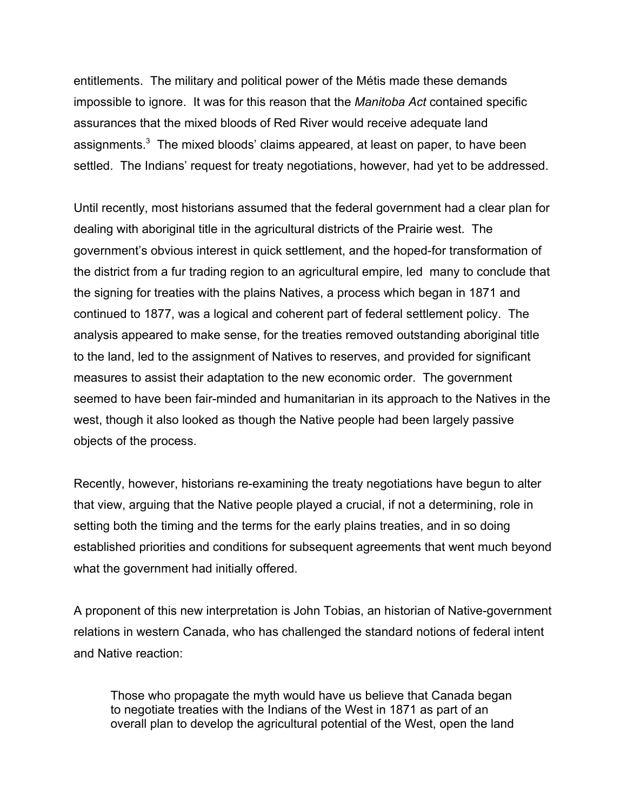entitlements. The military and political power of the Métis made these demands impossible to ignore. It was for this reason that the *Manitoba Act* contained specific assurances that the mixed bloods of Red River would receive adequate land assignments. $3$  The mixed bloods' claims appeared, at least on paper, to have been settled. The Indians' request for treaty negotiations, however, had yet to be addressed.

Until recently, most historians assumed that the federal government had a clear plan for dealing with aboriginal title in the agricultural districts of the Prairie west. The government's obvious interest in quick settlement, and the hoped-for transformation of the district from a fur trading region to an agricultural empire, led many to conclude that the signing for treaties with the plains Natives, a process which began in 1871 and continued to 1877, was a logical and coherent part of federal settlement policy. The analysis appeared to make sense, for the treaties removed outstanding aboriginal title to the land, led to the assignment of Natives to reserves, and provided for significant measures to assist their adaptation to the new economic order. The government seemed to have been fair-minded and humanitarian in its approach to the Natives in the west, though it also looked as though the Native people had been largely passive objects of the process.

Recently, however, historians re-examining the treaty negotiations have begun to alter that view, arguing that the Native people played a crucial, if not a determining, role in setting both the timing and the terms for the early plains treaties, and in so doing established priorities and conditions for subsequent agreements that went much beyond what the government had initially offered.

A proponent of this new interpretation is John Tobias, an historian of Native-government relations in western Canada, who has challenged the standard notions of federal intent and Native reaction:

Those who propagate the myth would have us believe that Canada began to negotiate treaties with the Indians of the West in 1871 as part of an overall plan to develop the agricultural potential of the West, open the land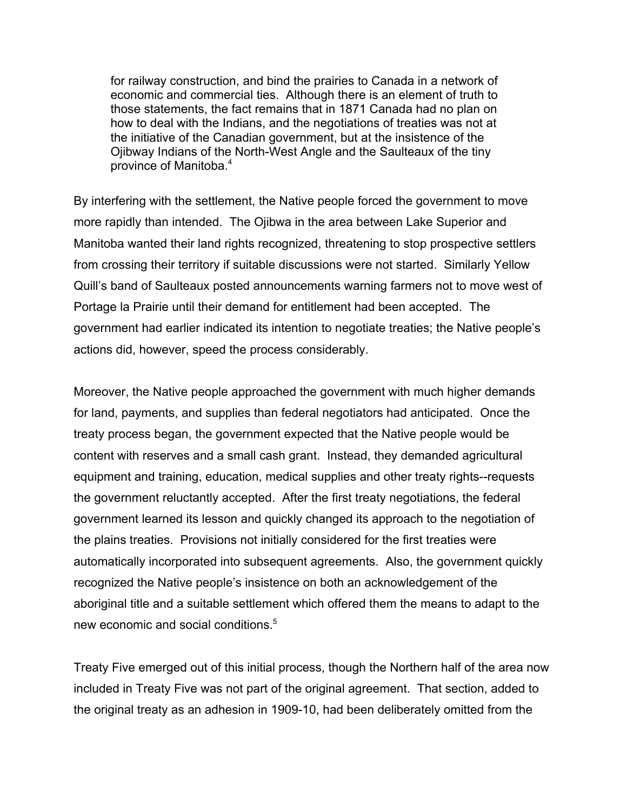for railway construction, and bind the prairies to Canada in a network of economic and commercial ties. Although there is an element of truth to those statements, the fact remains that in 1871 Canada had no plan on how to deal with the Indians, and the negotiations of treaties was not at the initiative of the Canadian government, but at the insistence of the Ojibway Indians of the North-West Angle and the Saulteaux of the tiny province of Manitoba.4

By interfering with the settlement, the Native people forced the government to move more rapidly than intended. The Ojibwa in the area between Lake Superior and Manitoba wanted their land rights recognized, threatening to stop prospective settlers from crossing their territory if suitable discussions were not started. Similarly Yellow Quill's band of Saulteaux posted announcements warning farmers not to move west of Portage la Prairie until their demand for entitlement had been accepted. The government had earlier indicated its intention to negotiate treaties; the Native people's actions did, however, speed the process considerably.

Moreover, the Native people approached the government with much higher demands for land, payments, and supplies than federal negotiators had anticipated. Once the treaty process began, the government expected that the Native people would be content with reserves and a small cash grant. Instead, they demanded agricultural equipment and training, education, medical supplies and other treaty rights--requests the government reluctantly accepted. After the first treaty negotiations, the federal government learned its lesson and quickly changed its approach to the negotiation of the plains treaties. Provisions not initially considered for the first treaties were automatically incorporated into subsequent agreements. Also, the government quickly recognized the Native people's insistence on both an acknowledgement of the aboriginal title and a suitable settlement which offered them the means to adapt to the new economic and social conditions.<sup>5</sup>

Treaty Five emerged out of this initial process, though the Northern half of the area now included in Treaty Five was not part of the original agreement. That section, added to the original treaty as an adhesion in 1909-10, had been deliberately omitted from the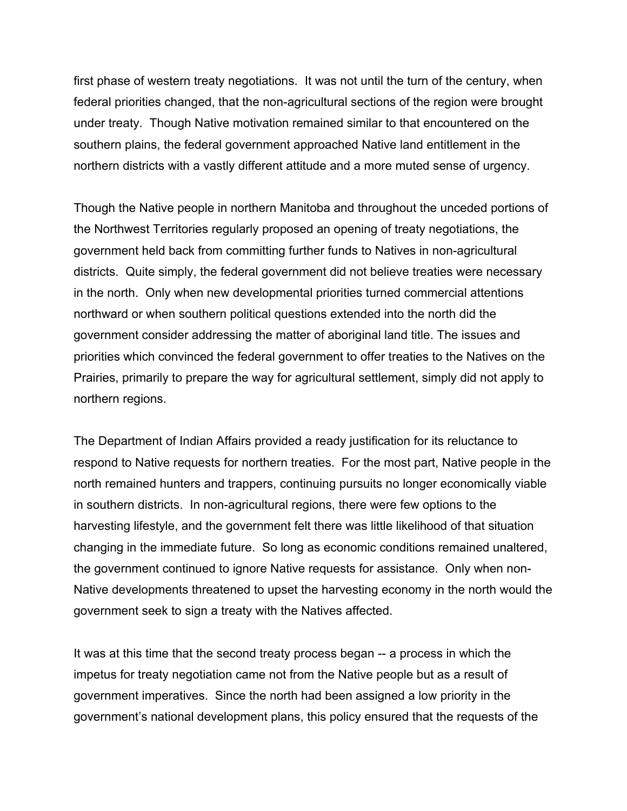first phase of western treaty negotiations. It was not until the turn of the century, when federal priorities changed, that the non-agricultural sections of the region were brought under treaty. Though Native motivation remained similar to that encountered on the southern plains, the federal government approached Native land entitlement in the northern districts with a vastly different attitude and a more muted sense of urgency.

Though the Native people in northern Manitoba and throughout the unceded portions of the Northwest Territories regularly proposed an opening of treaty negotiations, the government held back from committing further funds to Natives in non-agricultural districts. Quite simply, the federal government did not believe treaties were necessary in the north. Only when new developmental priorities turned commercial attentions northward or when southern political questions extended into the north did the government consider addressing the matter of aboriginal land title. The issues and priorities which convinced the federal government to offer treaties to the Natives on the Prairies, primarily to prepare the way for agricultural settlement, simply did not apply to northern regions.

The Department of Indian Affairs provided a ready justification for its reluctance to respond to Native requests for northern treaties. For the most part, Native people in the north remained hunters and trappers, continuing pursuits no longer economically viable in southern districts. In non-agricultural regions, there were few options to the harvesting lifestyle, and the government felt there was little likelihood of that situation changing in the immediate future. So long as economic conditions remained unaltered, the government continued to ignore Native requests for assistance. Only when non-Native developments threatened to upset the harvesting economy in the north would the government seek to sign a treaty with the Natives affected.

It was at this time that the second treaty process began -- a process in which the impetus for treaty negotiation came not from the Native people but as a result of government imperatives. Since the north had been assigned a low priority in the government's national development plans, this policy ensured that the requests of the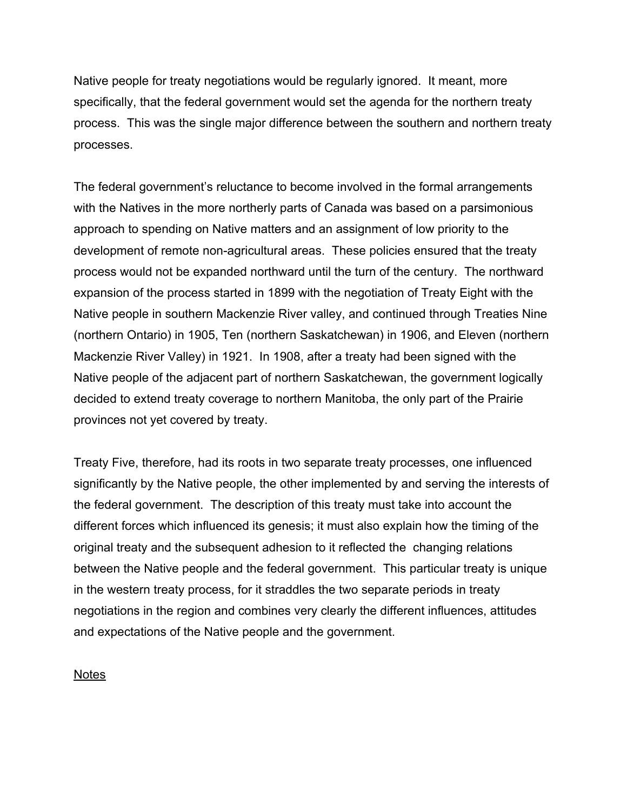Native people for treaty negotiations would be regularly ignored. It meant, more specifically, that the federal government would set the agenda for the northern treaty process. This was the single major difference between the southern and northern treaty processes.

The federal government's reluctance to become involved in the formal arrangements with the Natives in the more northerly parts of Canada was based on a parsimonious approach to spending on Native matters and an assignment of low priority to the development of remote non-agricultural areas. These policies ensured that the treaty process would not be expanded northward until the turn of the century. The northward expansion of the process started in 1899 with the negotiation of Treaty Eight with the Native people in southern Mackenzie River valley, and continued through Treaties Nine (northern Ontario) in 1905, Ten (northern Saskatchewan) in 1906, and Eleven (northern Mackenzie River Valley) in 1921. In 1908, after a treaty had been signed with the Native people of the adjacent part of northern Saskatchewan, the government logically decided to extend treaty coverage to northern Manitoba, the only part of the Prairie provinces not yet covered by treaty.

Treaty Five, therefore, had its roots in two separate treaty processes, one influenced significantly by the Native people, the other implemented by and serving the interests of the federal government. The description of this treaty must take into account the different forces which influenced its genesis; it must also explain how the timing of the original treaty and the subsequent adhesion to it reflected the changing relations between the Native people and the federal government. This particular treaty is unique in the western treaty process, for it straddles the two separate periods in treaty negotiations in the region and combines very clearly the different influences, attitudes and expectations of the Native people and the government.

Notes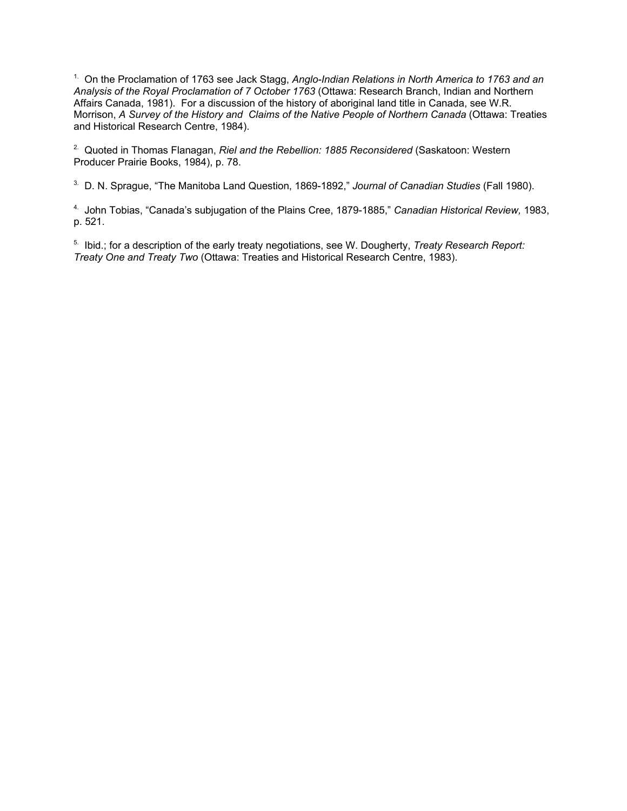1. On the Proclamation of 1763 see Jack Stagg, *Anglo-Indian Relations in North America to 1763 and an Analysis of the Royal Proclamation of 7 October 1763* (Ottawa: Research Branch, Indian and Northern Affairs Canada, 1981). For a discussion of the history of aboriginal land title in Canada, see W.R. Morrison, *A Survey of the History and Claims of the Native People of Northern Canada* (Ottawa: Treaties and Historical Research Centre, 1984).

<sup>2.</sup> Quoted in Thomas Flanagan, *Riel and the Rebellion: 1885 Reconsidered* (Saskatoon: Western Producer Prairie Books, 1984), p. 78.

3. D. N. Sprague, "The Manitoba Land Question, 1869-1892," *Journal of Canadian Studies* (Fall 1980).

4. John Tobias, "Canada's subjugation of the Plains Cree, 1879-1885," *Canadian Historical Review,* 1983, p. 521.

5. Ibid.; for a description of the early treaty negotiations, see W. Dougherty, *Treaty Research Report: Treaty One and Treaty Two* (Ottawa: Treaties and Historical Research Centre, 1983).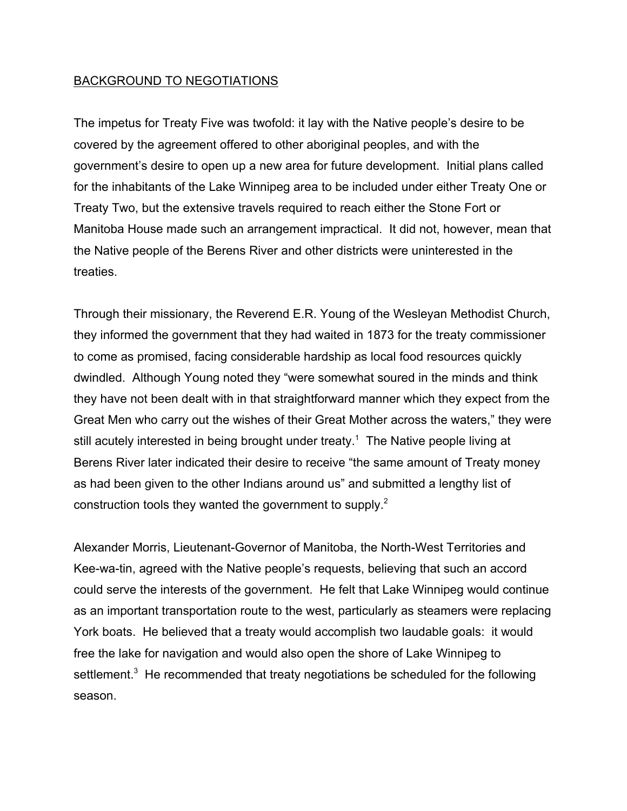# BACKGROUND TO NEGOTIATIONS

The impetus for Treaty Five was twofold: it lay with the Native people's desire to be covered by the agreement offered to other aboriginal peoples, and with the government's desire to open up a new area for future development. Initial plans called for the inhabitants of the Lake Winnipeg area to be included under either Treaty One or Treaty Two, but the extensive travels required to reach either the Stone Fort or Manitoba House made such an arrangement impractical. It did not, however, mean that the Native people of the Berens River and other districts were uninterested in the treaties.

Through their missionary, the Reverend E.R. Young of the Wesleyan Methodist Church, they informed the government that they had waited in 1873 for the treaty commissioner to come as promised, facing considerable hardship as local food resources quickly dwindled. Although Young noted they "were somewhat soured in the minds and think they have not been dealt with in that straightforward manner which they expect from the Great Men who carry out the wishes of their Great Mother across the waters," they were still acutely interested in being brought under treaty.<sup>1</sup> The Native people living at Berens River later indicated their desire to receive "the same amount of Treaty money as had been given to the other Indians around us" and submitted a lengthy list of construction tools they wanted the government to supply.<sup>2</sup>

Alexander Morris, Lieutenant-Governor of Manitoba, the North-West Territories and Kee-wa-tin, agreed with the Native people's requests, believing that such an accord could serve the interests of the government. He felt that Lake Winnipeg would continue as an important transportation route to the west, particularly as steamers were replacing York boats. He believed that a treaty would accomplish two laudable goals: it would free the lake for navigation and would also open the shore of Lake Winnipeg to settlement.<sup>3</sup> He recommended that treaty negotiations be scheduled for the following season.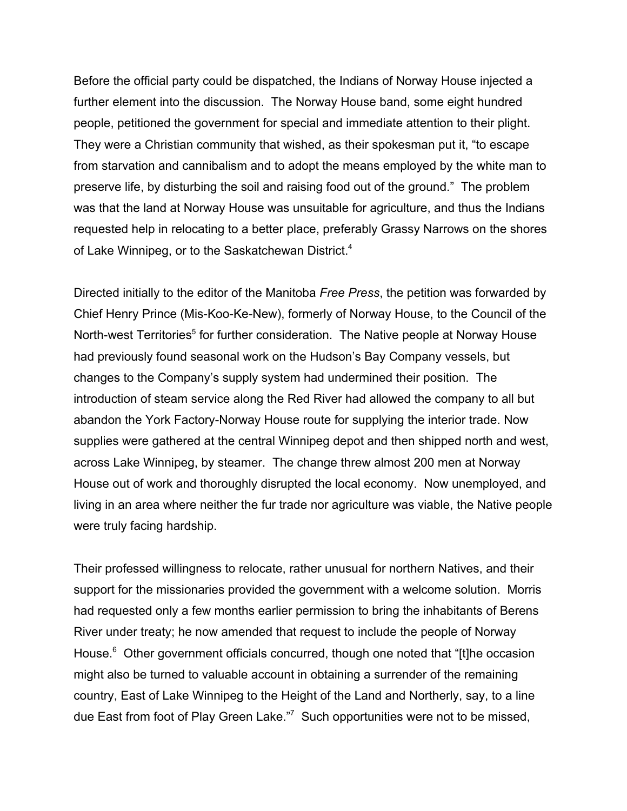Before the official party could be dispatched, the Indians of Norway House injected a further element into the discussion. The Norway House band, some eight hundred people, petitioned the government for special and immediate attention to their plight. They were a Christian community that wished, as their spokesman put it, "to escape from starvation and cannibalism and to adopt the means employed by the white man to preserve life, by disturbing the soil and raising food out of the ground." The problem was that the land at Norway House was unsuitable for agriculture, and thus the Indians requested help in relocating to a better place, preferably Grassy Narrows on the shores of Lake Winnipeg, or to the Saskatchewan District.<sup>4</sup>

Directed initially to the editor of the Manitoba *Free Press*, the petition was forwarded by Chief Henry Prince (Mis-Koo-Ke-New), formerly of Norway House, to the Council of the North-west Territories<sup>5</sup> for further consideration. The Native people at Norway House had previously found seasonal work on the Hudson's Bay Company vessels, but changes to the Company's supply system had undermined their position. The introduction of steam service along the Red River had allowed the company to all but abandon the York Factory-Norway House route for supplying the interior trade. Now supplies were gathered at the central Winnipeg depot and then shipped north and west, across Lake Winnipeg, by steamer. The change threw almost 200 men at Norway House out of work and thoroughly disrupted the local economy. Now unemployed, and living in an area where neither the fur trade nor agriculture was viable, the Native people were truly facing hardship.

Their professed willingness to relocate, rather unusual for northern Natives, and their support for the missionaries provided the government with a welcome solution. Morris had requested only a few months earlier permission to bring the inhabitants of Berens River under treaty; he now amended that request to include the people of Norway House.<sup>6</sup> Other government officials concurred, though one noted that "[t]he occasion might also be turned to valuable account in obtaining a surrender of the remaining country, East of Lake Winnipeg to the Height of the Land and Northerly, say, to a line due East from foot of Play Green Lake."<sup>7</sup> Such opportunities were not to be missed,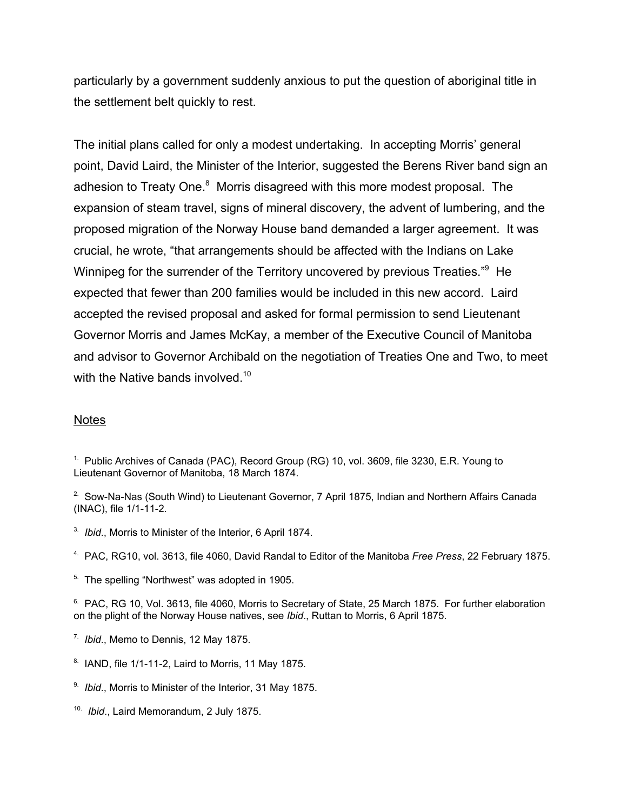particularly by a government suddenly anxious to put the question of aboriginal title in the settlement belt quickly to rest.

The initial plans called for only a modest undertaking. In accepting Morris' general point, David Laird, the Minister of the Interior, suggested the Berens River band sign an adhesion to Treaty One.<sup>8</sup> Morris disagreed with this more modest proposal. The expansion of steam travel, signs of mineral discovery, the advent of lumbering, and the proposed migration of the Norway House band demanded a larger agreement. It was crucial, he wrote, "that arrangements should be affected with the Indians on Lake Winnipeg for the surrender of the Territory uncovered by previous Treaties."<sup>9</sup> He expected that fewer than 200 families would be included in this new accord. Laird accepted the revised proposal and asked for formal permission to send Lieutenant Governor Morris and James McKay, a member of the Executive Council of Manitoba and advisor to Governor Archibald on the negotiation of Treaties One and Two, to meet with the Native bands involved.<sup>10</sup>

### **Notes**

<sup>1.</sup> Public Archives of Canada (PAC), Record Group (RG) 10, vol. 3609, file 3230, E.R. Young to Lieutenant Governor of Manitoba, 18 March 1874.

- <sup>2.</sup> Sow-Na-Nas (South Wind) to Lieutenant Governor, 7 April 1875, Indian and Northern Affairs Canada (INAC), file 1/1-11-2.
- 3. *Ibid*., Morris to Minister of the Interior, 6 April 1874.
- 4. PAC, RG10, vol. 3613, file 4060, David Randal to Editor of the Manitoba *Free Press*, 22 February 1875.
- <sup>5.</sup> The spelling "Northwest" was adopted in 1905.

<sup>6.</sup> PAC, RG 10, Vol. 3613, file 4060, Morris to Secretary of State, 25 March 1875. For further elaboration on the plight of the Norway House natives, see *Ibid*., Ruttan to Morris, 6 April 1875.

- 7. *Ibid*., Memo to Dennis, 12 May 1875.
- $8.$  IAND, file 1/1-11-2, Laird to Morris, 11 May 1875.
- 9. *Ibid*., Morris to Minister of the Interior, 31 May 1875.
- 10. *Ibid*., Laird Memorandum, 2 July 1875.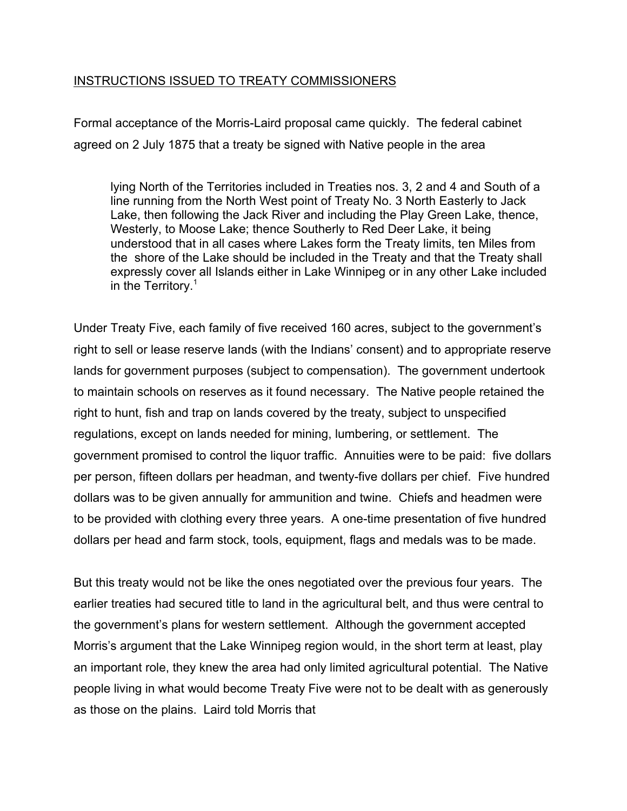# INSTRUCTIONS ISSUED TO TREATY COMMISSIONERS

Formal acceptance of the Morris-Laird proposal came quickly. The federal cabinet agreed on 2 July 1875 that a treaty be signed with Native people in the area

lying North of the Territories included in Treaties nos. 3, 2 and 4 and South of a line running from the North West point of Treaty No. 3 North Easterly to Jack Lake, then following the Jack River and including the Play Green Lake, thence, Westerly, to Moose Lake; thence Southerly to Red Deer Lake, it being understood that in all cases where Lakes form the Treaty limits, ten Miles from the shore of the Lake should be included in the Treaty and that the Treaty shall expressly cover all Islands either in Lake Winnipeg or in any other Lake included in the Territory.<sup>1</sup>

Under Treaty Five, each family of five received 160 acres, subject to the government's right to sell or lease reserve lands (with the Indians' consent) and to appropriate reserve lands for government purposes (subject to compensation). The government undertook to maintain schools on reserves as it found necessary. The Native people retained the right to hunt, fish and trap on lands covered by the treaty, subject to unspecified regulations, except on lands needed for mining, lumbering, or settlement. The government promised to control the liquor traffic. Annuities were to be paid: five dollars per person, fifteen dollars per headman, and twenty-five dollars per chief. Five hundred dollars was to be given annually for ammunition and twine. Chiefs and headmen were to be provided with clothing every three years. A one-time presentation of five hundred dollars per head and farm stock, tools, equipment, flags and medals was to be made.

But this treaty would not be like the ones negotiated over the previous four years. The earlier treaties had secured title to land in the agricultural belt, and thus were central to the government's plans for western settlement. Although the government accepted Morris's argument that the Lake Winnipeg region would, in the short term at least, play an important role, they knew the area had only limited agricultural potential. The Native people living in what would become Treaty Five were not to be dealt with as generously as those on the plains. Laird told Morris that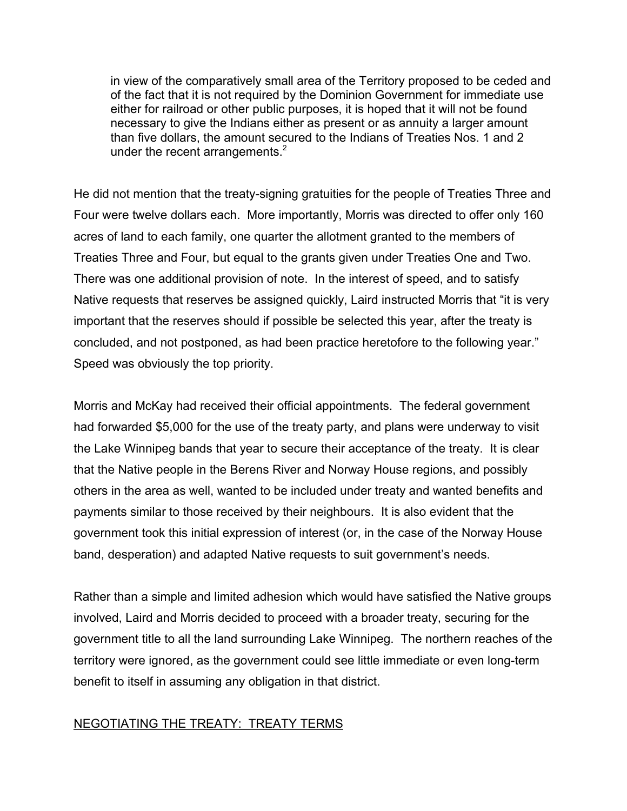in view of the comparatively small area of the Territory proposed to be ceded and of the fact that it is not required by the Dominion Government for immediate use either for railroad or other public purposes, it is hoped that it will not be found necessary to give the Indians either as present or as annuity a larger amount than five dollars, the amount secured to the Indians of Treaties Nos. 1 and 2 under the recent arrangements. $2$ 

He did not mention that the treaty-signing gratuities for the people of Treaties Three and Four were twelve dollars each. More importantly, Morris was directed to offer only 160 acres of land to each family, one quarter the allotment granted to the members of Treaties Three and Four, but equal to the grants given under Treaties One and Two. There was one additional provision of note. In the interest of speed, and to satisfy Native requests that reserves be assigned quickly, Laird instructed Morris that "it is very important that the reserves should if possible be selected this year, after the treaty is concluded, and not postponed, as had been practice heretofore to the following year." Speed was obviously the top priority.

Morris and McKay had received their official appointments. The federal government had forwarded \$5,000 for the use of the treaty party, and plans were underway to visit the Lake Winnipeg bands that year to secure their acceptance of the treaty. It is clear that the Native people in the Berens River and Norway House regions, and possibly others in the area as well, wanted to be included under treaty and wanted benefits and payments similar to those received by their neighbours. It is also evident that the government took this initial expression of interest (or, in the case of the Norway House band, desperation) and adapted Native requests to suit government's needs.

Rather than a simple and limited adhesion which would have satisfied the Native groups involved, Laird and Morris decided to proceed with a broader treaty, securing for the government title to all the land surrounding Lake Winnipeg. The northern reaches of the territory were ignored, as the government could see little immediate or even long-term benefit to itself in assuming any obligation in that district.

# NEGOTIATING THE TREATY: TREATY TERMS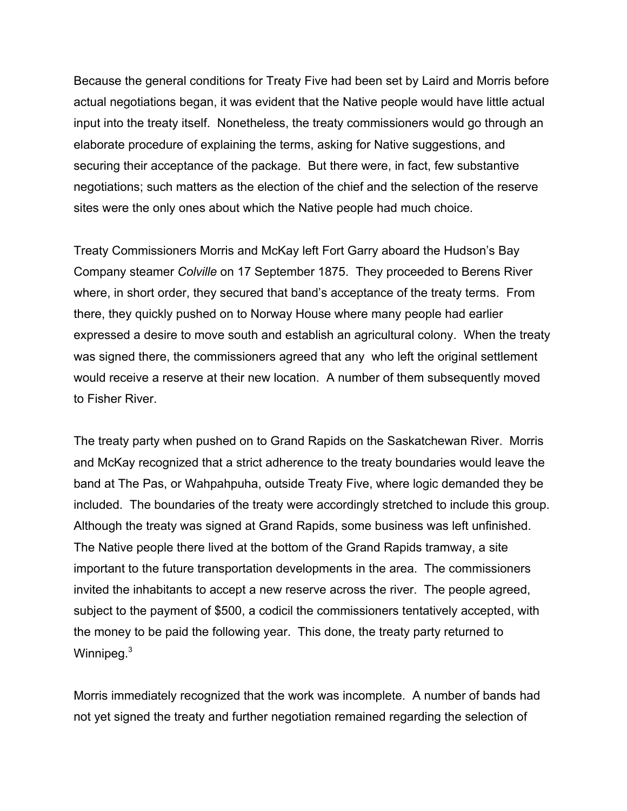Because the general conditions for Treaty Five had been set by Laird and Morris before actual negotiations began, it was evident that the Native people would have little actual input into the treaty itself. Nonetheless, the treaty commissioners would go through an elaborate procedure of explaining the terms, asking for Native suggestions, and securing their acceptance of the package. But there were, in fact, few substantive negotiations; such matters as the election of the chief and the selection of the reserve sites were the only ones about which the Native people had much choice.

Treaty Commissioners Morris and McKay left Fort Garry aboard the Hudson's Bay Company steamer *Colville* on 17 September 1875. They proceeded to Berens River where, in short order, they secured that band's acceptance of the treaty terms. From there, they quickly pushed on to Norway House where many people had earlier expressed a desire to move south and establish an agricultural colony. When the treaty was signed there, the commissioners agreed that any who left the original settlement would receive a reserve at their new location. A number of them subsequently moved to Fisher River.

The treaty party when pushed on to Grand Rapids on the Saskatchewan River. Morris and McKay recognized that a strict adherence to the treaty boundaries would leave the band at The Pas, or Wahpahpuha, outside Treaty Five, where logic demanded they be included. The boundaries of the treaty were accordingly stretched to include this group. Although the treaty was signed at Grand Rapids, some business was left unfinished. The Native people there lived at the bottom of the Grand Rapids tramway, a site important to the future transportation developments in the area. The commissioners invited the inhabitants to accept a new reserve across the river. The people agreed, subject to the payment of \$500, a codicil the commissioners tentatively accepted, with the money to be paid the following year. This done, the treaty party returned to Winnipeg.<sup>3</sup>

Morris immediately recognized that the work was incomplete. A number of bands had not yet signed the treaty and further negotiation remained regarding the selection of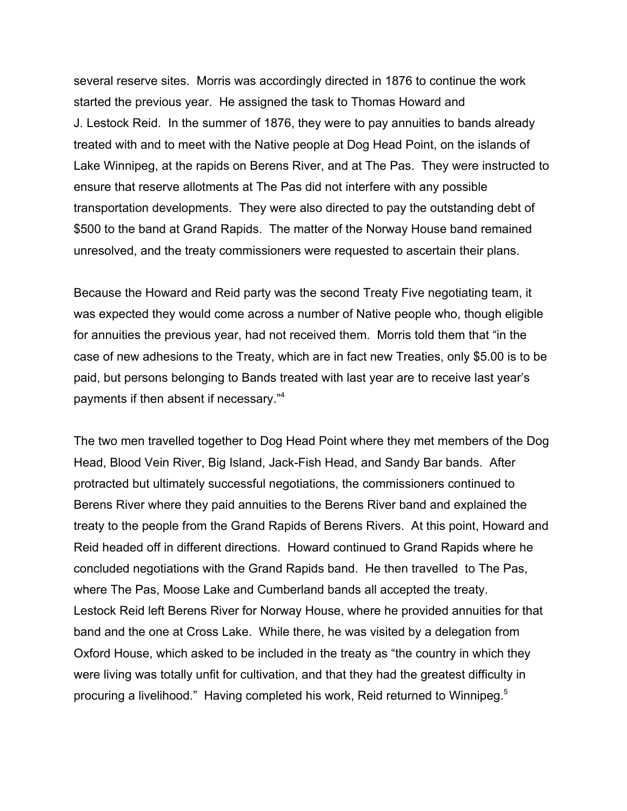several reserve sites. Morris was accordingly directed in 1876 to continue the work started the previous year. He assigned the task to Thomas Howard and J. Lestock Reid. In the summer of 1876, they were to pay annuities to bands already treated with and to meet with the Native people at Dog Head Point, on the islands of Lake Winnipeg, at the rapids on Berens River, and at The Pas. They were instructed to ensure that reserve allotments at The Pas did not interfere with any possible transportation developments. They were also directed to pay the outstanding debt of \$500 to the band at Grand Rapids. The matter of the Norway House band remained unresolved, and the treaty commissioners were requested to ascertain their plans.

Because the Howard and Reid party was the second Treaty Five negotiating team, it was expected they would come across a number of Native people who, though eligible for annuities the previous year, had not received them. Morris told them that "in the case of new adhesions to the Treaty, which are in fact new Treaties, only \$5.00 is to be paid, but persons belonging to Bands treated with last year are to receive last year's payments if then absent if necessary."4

The two men travelled together to Dog Head Point where they met members of the Dog Head, Blood Vein River, Big Island, Jack-Fish Head, and Sandy Bar bands. After protracted but ultimately successful negotiations, the commissioners continued to Berens River where they paid annuities to the Berens River band and explained the treaty to the people from the Grand Rapids of Berens Rivers. At this point, Howard and Reid headed off in different directions. Howard continued to Grand Rapids where he concluded negotiations with the Grand Rapids band. He then travelled to The Pas, where The Pas, Moose Lake and Cumberland bands all accepted the treaty. Lestock Reid left Berens River for Norway House, where he provided annuities for that band and the one at Cross Lake. While there, he was visited by a delegation from Oxford House, which asked to be included in the treaty as "the country in which they were living was totally unfit for cultivation, and that they had the greatest difficulty in procuring a livelihood." Having completed his work, Reid returned to Winnipeg.<sup>5</sup>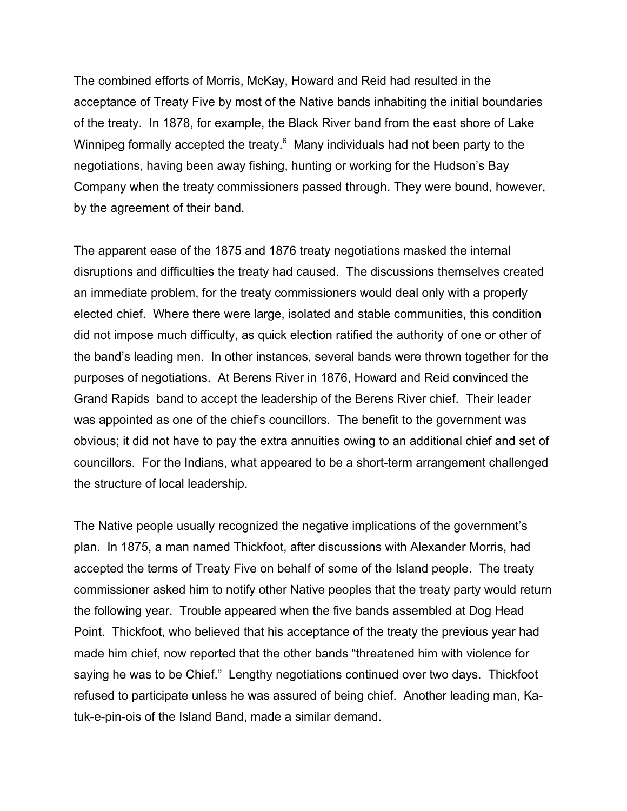The combined efforts of Morris, McKay, Howard and Reid had resulted in the acceptance of Treaty Five by most of the Native bands inhabiting the initial boundaries of the treaty. In 1878, for example, the Black River band from the east shore of Lake Winnipeg formally accepted the treaty. $6$  Many individuals had not been party to the negotiations, having been away fishing, hunting or working for the Hudson's Bay Company when the treaty commissioners passed through. They were bound, however, by the agreement of their band.

The apparent ease of the 1875 and 1876 treaty negotiations masked the internal disruptions and difficulties the treaty had caused. The discussions themselves created an immediate problem, for the treaty commissioners would deal only with a properly elected chief. Where there were large, isolated and stable communities, this condition did not impose much difficulty, as quick election ratified the authority of one or other of the band's leading men. In other instances, several bands were thrown together for the purposes of negotiations. At Berens River in 1876, Howard and Reid convinced the Grand Rapids band to accept the leadership of the Berens River chief. Their leader was appointed as one of the chief's councillors. The benefit to the government was obvious; it did not have to pay the extra annuities owing to an additional chief and set of councillors. For the Indians, what appeared to be a short-term arrangement challenged the structure of local leadership.

The Native people usually recognized the negative implications of the government's plan. In 1875, a man named Thickfoot, after discussions with Alexander Morris, had accepted the terms of Treaty Five on behalf of some of the Island people. The treaty commissioner asked him to notify other Native peoples that the treaty party would return the following year. Trouble appeared when the five bands assembled at Dog Head Point. Thickfoot, who believed that his acceptance of the treaty the previous year had made him chief, now reported that the other bands "threatened him with violence for saying he was to be Chief." Lengthy negotiations continued over two days. Thickfoot refused to participate unless he was assured of being chief. Another leading man, Katuk-e-pin-ois of the Island Band, made a similar demand.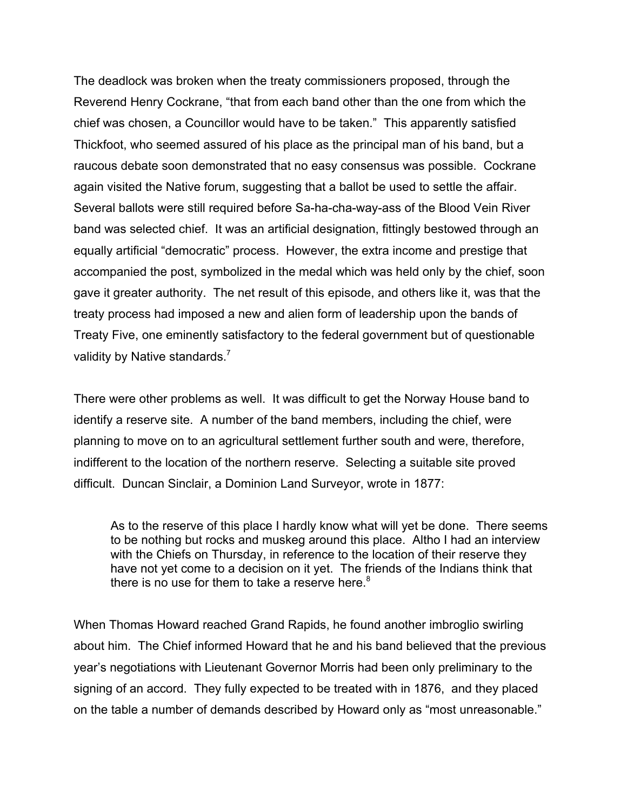The deadlock was broken when the treaty commissioners proposed, through the Reverend Henry Cockrane, "that from each band other than the one from which the chief was chosen, a Councillor would have to be taken." This apparently satisfied Thickfoot, who seemed assured of his place as the principal man of his band, but a raucous debate soon demonstrated that no easy consensus was possible. Cockrane again visited the Native forum, suggesting that a ballot be used to settle the affair. Several ballots were still required before Sa-ha-cha-way-ass of the Blood Vein River band was selected chief. It was an artificial designation, fittingly bestowed through an equally artificial "democratic" process. However, the extra income and prestige that accompanied the post, symbolized in the medal which was held only by the chief, soon gave it greater authority. The net result of this episode, and others like it, was that the treaty process had imposed a new and alien form of leadership upon the bands of Treaty Five, one eminently satisfactory to the federal government but of questionable validity by Native standards.<sup>7</sup>

There were other problems as well. It was difficult to get the Norway House band to identify a reserve site. A number of the band members, including the chief, were planning to move on to an agricultural settlement further south and were, therefore, indifferent to the location of the northern reserve. Selecting a suitable site proved difficult. Duncan Sinclair, a Dominion Land Surveyor, wrote in 1877:

As to the reserve of this place I hardly know what will yet be done. There seems to be nothing but rocks and muskeg around this place. Altho I had an interview with the Chiefs on Thursday, in reference to the location of their reserve they have not yet come to a decision on it yet. The friends of the Indians think that there is no use for them to take a reserve here. $8<sup>8</sup>$ 

When Thomas Howard reached Grand Rapids, he found another imbroglio swirling about him. The Chief informed Howard that he and his band believed that the previous year's negotiations with Lieutenant Governor Morris had been only preliminary to the signing of an accord. They fully expected to be treated with in 1876, and they placed on the table a number of demands described by Howard only as "most unreasonable."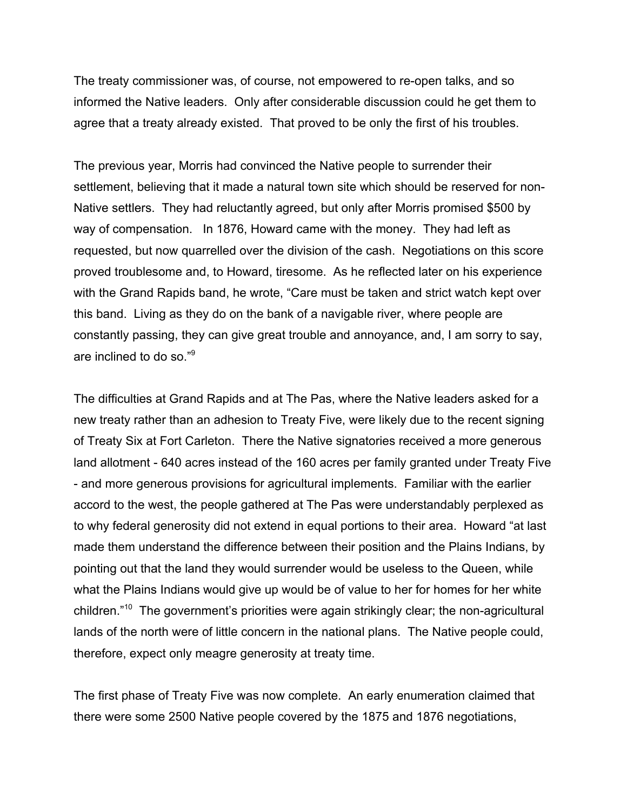The treaty commissioner was, of course, not empowered to re-open talks, and so informed the Native leaders. Only after considerable discussion could he get them to agree that a treaty already existed. That proved to be only the first of his troubles.

The previous year, Morris had convinced the Native people to surrender their settlement, believing that it made a natural town site which should be reserved for non-Native settlers. They had reluctantly agreed, but only after Morris promised \$500 by way of compensation. In 1876, Howard came with the money. They had left as requested, but now quarrelled over the division of the cash. Negotiations on this score proved troublesome and, to Howard, tiresome. As he reflected later on his experience with the Grand Rapids band, he wrote, "Care must be taken and strict watch kept over this band. Living as they do on the bank of a navigable river, where people are constantly passing, they can give great trouble and annoyance, and, I am sorry to say, are inclined to do so."<sup>9</sup>

The difficulties at Grand Rapids and at The Pas, where the Native leaders asked for a new treaty rather than an adhesion to Treaty Five, were likely due to the recent signing of Treaty Six at Fort Carleton. There the Native signatories received a more generous land allotment - 640 acres instead of the 160 acres per family granted under Treaty Five - and more generous provisions for agricultural implements. Familiar with the earlier accord to the west, the people gathered at The Pas were understandably perplexed as to why federal generosity did not extend in equal portions to their area. Howard "at last made them understand the difference between their position and the Plains Indians, by pointing out that the land they would surrender would be useless to the Queen, while what the Plains Indians would give up would be of value to her for homes for her white children."10 The government's priorities were again strikingly clear; the non-agricultural lands of the north were of little concern in the national plans. The Native people could, therefore, expect only meagre generosity at treaty time.

The first phase of Treaty Five was now complete. An early enumeration claimed that there were some 2500 Native people covered by the 1875 and 1876 negotiations,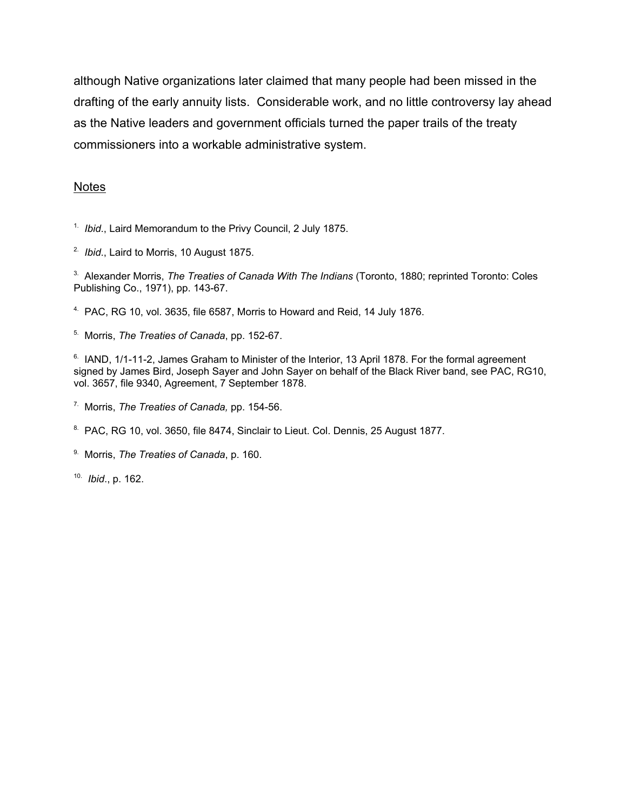although Native organizations later claimed that many people had been missed in the drafting of the early annuity lists. Considerable work, and no little controversy lay ahead as the Native leaders and government officials turned the paper trails of the treaty commissioners into a workable administrative system.

## **Notes**

1. *Ibid*., Laird Memorandum to the Privy Council, 2 July 1875.

2. *Ibid*., Laird to Morris, 10 August 1875.

3. Alexander Morris, *The Treaties of Canada With The Indians* (Toronto, 1880; reprinted Toronto: Coles Publishing Co., 1971), pp. 143-67.

4. PAC, RG 10, vol. 3635, file 6587, Morris to Howard and Reid, 14 July 1876.

5. Morris, *The Treaties of Canada*, pp. 152-67.

<sup>6.</sup> IAND, 1/1-11-2, James Graham to Minister of the Interior, 13 April 1878. For the formal agreement signed by James Bird, Joseph Sayer and John Sayer on behalf of the Black River band, see PAC, RG10, vol. 3657, file 9340, Agreement, 7 September 1878.

7. Morris, *The Treaties of Canada,* pp. 154-56.

<sup>8.</sup> PAC, RG 10, vol. 3650, file 8474, Sinclair to Lieut. Col. Dennis, 25 August 1877.

9. Morris, *The Treaties of Canada*, p. 160.

10. *Ibid*., p. 162.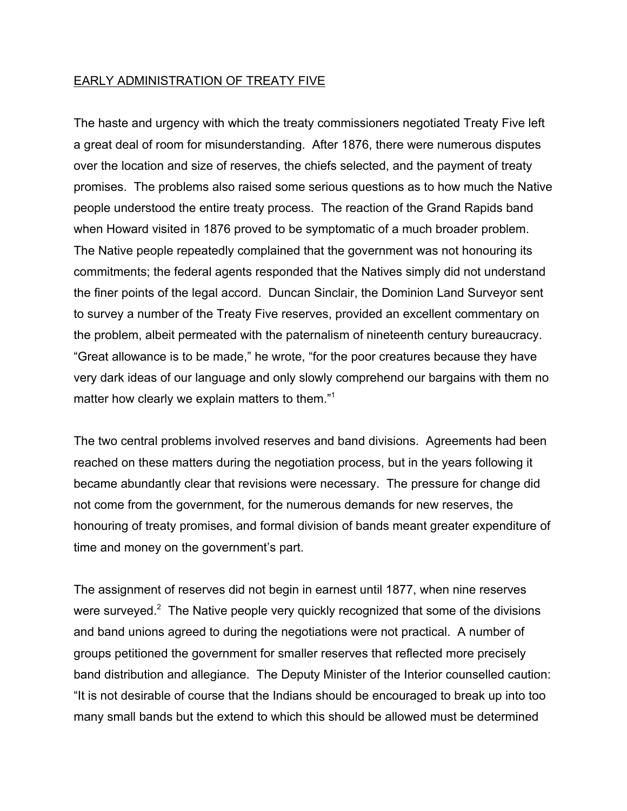### EARLY ADMINISTRATION OF TREATY FIVE

The haste and urgency with which the treaty commissioners negotiated Treaty Five left a great deal of room for misunderstanding. After 1876, there were numerous disputes over the location and size of reserves, the chiefs selected, and the payment of treaty promises. The problems also raised some serious questions as to how much the Native people understood the entire treaty process. The reaction of the Grand Rapids band when Howard visited in 1876 proved to be symptomatic of a much broader problem. The Native people repeatedly complained that the government was not honouring its commitments; the federal agents responded that the Natives simply did not understand the finer points of the legal accord. Duncan Sinclair, the Dominion Land Surveyor sent to survey a number of the Treaty Five reserves, provided an excellent commentary on the problem, albeit permeated with the paternalism of nineteenth century bureaucracy. "Great allowance is to be made," he wrote, "for the poor creatures because they have very dark ideas of our language and only slowly comprehend our bargains with them no matter how clearly we explain matters to them."<sup>1</sup>

The two central problems involved reserves and band divisions. Agreements had been reached on these matters during the negotiation process, but in the years following it became abundantly clear that revisions were necessary. The pressure for change did not come from the government, for the numerous demands for new reserves, the honouring of treaty promises, and formal division of bands meant greater expenditure of time and money on the government's part.

The assignment of reserves did not begin in earnest until 1877, when nine reserves were surveyed.<sup>2</sup> The Native people very quickly recognized that some of the divisions and band unions agreed to during the negotiations were not practical. A number of groups petitioned the government for smaller reserves that reflected more precisely band distribution and allegiance. The Deputy Minister of the Interior counselled caution: "It is not desirable of course that the Indians should be encouraged to break up into too many small bands but the extend to which this should be allowed must be determined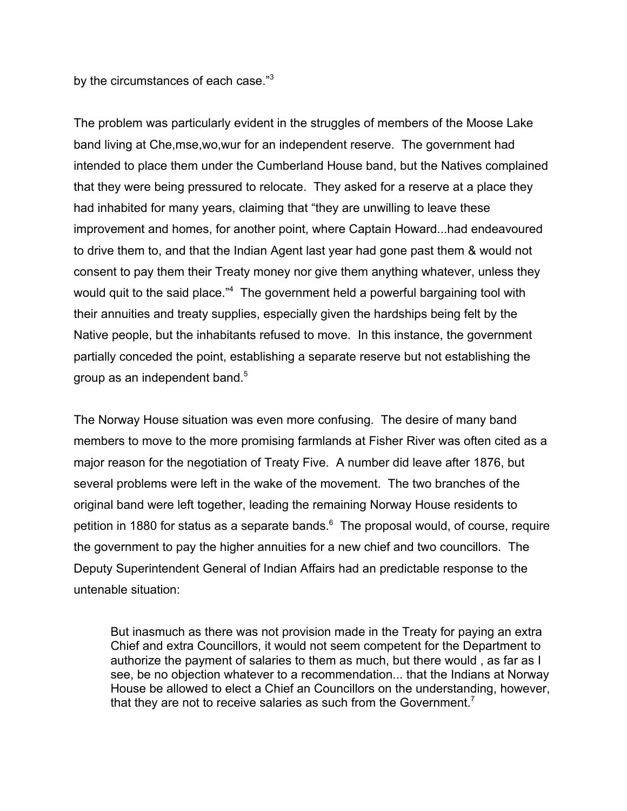by the circumstances of each case."<sup>3</sup>

The problem was particularly evident in the struggles of members of the Moose Lake band living at Che,mse,wo,wur for an independent reserve. The government had intended to place them under the Cumberland House band, but the Natives complained that they were being pressured to relocate. They asked for a reserve at a place they had inhabited for many years, claiming that "they are unwilling to leave these improvement and homes, for another point, where Captain Howard...had endeavoured to drive them to, and that the Indian Agent last year had gone past them & would not consent to pay them their Treaty money nor give them anything whatever, unless they would quit to the said place."<sup>4</sup> The government held a powerful bargaining tool with their annuities and treaty supplies, especially given the hardships being felt by the Native people, but the inhabitants refused to move. In this instance, the government partially conceded the point, establishing a separate reserve but not establishing the group as an independent band.<sup>5</sup>

The Norway House situation was even more confusing. The desire of many band members to move to the more promising farmlands at Fisher River was often cited as a major reason for the negotiation of Treaty Five. A number did leave after 1876, but several problems were left in the wake of the movement. The two branches of the original band were left together, leading the remaining Norway House residents to petition in 1880 for status as a separate bands.<sup>6</sup> The proposal would, of course, require the government to pay the higher annuities for a new chief and two councillors. The Deputy Superintendent General of Indian Affairs had an predictable response to the untenable situation:

But inasmuch as there was not provision made in the Treaty for paying an extra Chief and extra Councillors, it would not seem competent for the Department to authorize the payment of salaries to them as much, but there would , as far as I see, be no objection whatever to a recommendation... that the Indians at Norway House be allowed to elect a Chief an Councillors on the understanding, however, that they are not to receive salaries as such from the Government.<sup>7</sup>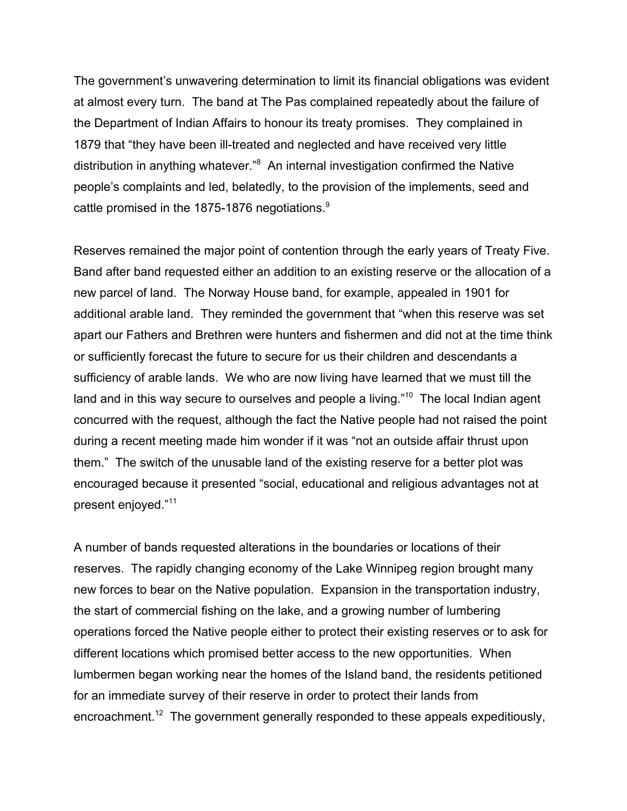The government's unwavering determination to limit its financial obligations was evident at almost every turn. The band at The Pas complained repeatedly about the failure of the Department of Indian Affairs to honour its treaty promises. They complained in 1879 that "they have been ill-treated and neglected and have received very little distribution in anything whatever."<sup>8</sup> An internal investigation confirmed the Native people's complaints and led, belatedly, to the provision of the implements, seed and cattle promised in the 1875-1876 negotiations.<sup>9</sup>

Reserves remained the major point of contention through the early years of Treaty Five. Band after band requested either an addition to an existing reserve or the allocation of a new parcel of land. The Norway House band, for example, appealed in 1901 for additional arable land. They reminded the government that "when this reserve was set apart our Fathers and Brethren were hunters and fishermen and did not at the time think or sufficiently forecast the future to secure for us their children and descendants a sufficiency of arable lands. We who are now living have learned that we must till the land and in this way secure to ourselves and people a living."<sup>10</sup> The local Indian agent concurred with the request, although the fact the Native people had not raised the point during a recent meeting made him wonder if it was "not an outside affair thrust upon them." The switch of the unusable land of the existing reserve for a better plot was encouraged because it presented "social, educational and religious advantages not at present enjoyed."<sup>11</sup>

A number of bands requested alterations in the boundaries or locations of their reserves. The rapidly changing economy of the Lake Winnipeg region brought many new forces to bear on the Native population. Expansion in the transportation industry, the start of commercial fishing on the lake, and a growing number of lumbering operations forced the Native people either to protect their existing reserves or to ask for different locations which promised better access to the new opportunities. When lumbermen began working near the homes of the Island band, the residents petitioned for an immediate survey of their reserve in order to protect their lands from encroachment.<sup>12</sup> The government generally responded to these appeals expeditiously,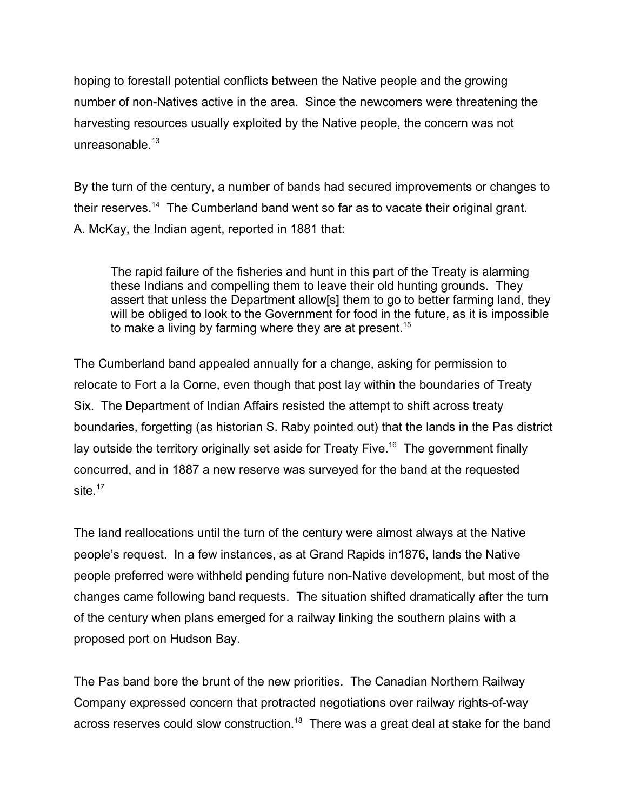hoping to forestall potential conflicts between the Native people and the growing number of non-Natives active in the area. Since the newcomers were threatening the harvesting resources usually exploited by the Native people, the concern was not unreasonable.<sup>13</sup>

By the turn of the century, a number of bands had secured improvements or changes to their reserves.<sup>14</sup> The Cumberland band went so far as to vacate their original grant. A. McKay, the Indian agent, reported in 1881 that:

The rapid failure of the fisheries and hunt in this part of the Treaty is alarming these Indians and compelling them to leave their old hunting grounds. They assert that unless the Department allow[s] them to go to better farming land, they will be obliged to look to the Government for food in the future, as it is impossible to make a living by farming where they are at present.<sup>15</sup>

The Cumberland band appealed annually for a change, asking for permission to relocate to Fort a la Corne, even though that post lay within the boundaries of Treaty Six. The Department of Indian Affairs resisted the attempt to shift across treaty boundaries, forgetting (as historian S. Raby pointed out) that the lands in the Pas district lay outside the territory originally set aside for Treaty Five.<sup>16</sup> The government finally concurred, and in 1887 a new reserve was surveyed for the band at the requested site $17$ 

The land reallocations until the turn of the century were almost always at the Native people's request. In a few instances, as at Grand Rapids in1876, lands the Native people preferred were withheld pending future non-Native development, but most of the changes came following band requests. The situation shifted dramatically after the turn of the century when plans emerged for a railway linking the southern plains with a proposed port on Hudson Bay.

The Pas band bore the brunt of the new priorities. The Canadian Northern Railway Company expressed concern that protracted negotiations over railway rights-of-way across reserves could slow construction.<sup>18</sup> There was a great deal at stake for the band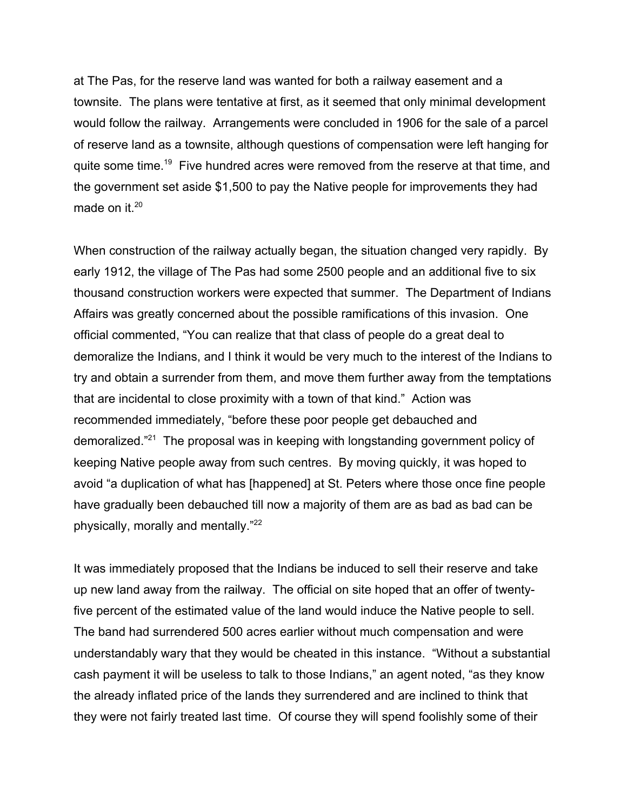at The Pas, for the reserve land was wanted for both a railway easement and a townsite. The plans were tentative at first, as it seemed that only minimal development would follow the railway. Arrangements were concluded in 1906 for the sale of a parcel of reserve land as a townsite, although questions of compensation were left hanging for quite some time.<sup>19</sup> Five hundred acres were removed from the reserve at that time, and the government set aside \$1,500 to pay the Native people for improvements they had made on it. $20$ 

When construction of the railway actually began, the situation changed very rapidly. By early 1912, the village of The Pas had some 2500 people and an additional five to six thousand construction workers were expected that summer. The Department of Indians Affairs was greatly concerned about the possible ramifications of this invasion. One official commented, "You can realize that that class of people do a great deal to demoralize the Indians, and I think it would be very much to the interest of the Indians to try and obtain a surrender from them, and move them further away from the temptations that are incidental to close proximity with a town of that kind." Action was recommended immediately, "before these poor people get debauched and demoralized."21 The proposal was in keeping with longstanding government policy of keeping Native people away from such centres. By moving quickly, it was hoped to avoid "a duplication of what has [happened] at St. Peters where those once fine people have gradually been debauched till now a majority of them are as bad as bad can be physically, morally and mentally."22

It was immediately proposed that the Indians be induced to sell their reserve and take up new land away from the railway. The official on site hoped that an offer of twentyfive percent of the estimated value of the land would induce the Native people to sell. The band had surrendered 500 acres earlier without much compensation and were understandably wary that they would be cheated in this instance. "Without a substantial cash payment it will be useless to talk to those Indians," an agent noted, "as they know the already inflated price of the lands they surrendered and are inclined to think that they were not fairly treated last time. Of course they will spend foolishly some of their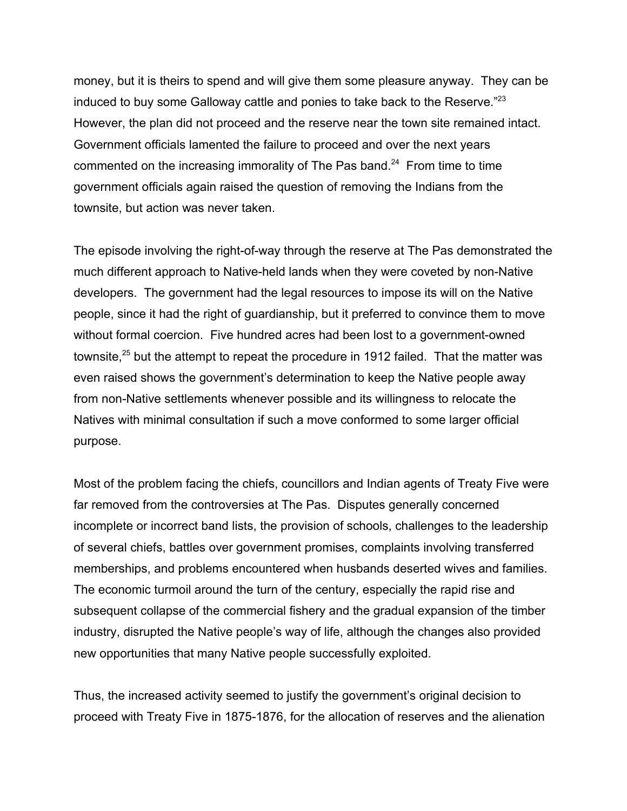money, but it is theirs to spend and will give them some pleasure anyway. They can be induced to buy some Galloway cattle and ponies to take back to the Reserve."<sup>23</sup> However, the plan did not proceed and the reserve near the town site remained intact. Government officials lamented the failure to proceed and over the next years commented on the increasing immorality of The Pas band.<sup>24</sup> From time to time government officials again raised the question of removing the Indians from the townsite, but action was never taken.

The episode involving the right-of-way through the reserve at The Pas demonstrated the much different approach to Native-held lands when they were coveted by non-Native developers. The government had the legal resources to impose its will on the Native people, since it had the right of guardianship, but it preferred to convince them to move without formal coercion. Five hundred acres had been lost to a government-owned townsite,<sup>25</sup> but the attempt to repeat the procedure in 1912 failed. That the matter was even raised shows the government's determination to keep the Native people away from non-Native settlements whenever possible and its willingness to relocate the Natives with minimal consultation if such a move conformed to some larger official purpose.

Most of the problem facing the chiefs, councillors and Indian agents of Treaty Five were far removed from the controversies at The Pas. Disputes generally concerned incomplete or incorrect band lists, the provision of schools, challenges to the leadership of several chiefs, battles over government promises, complaints involving transferred memberships, and problems encountered when husbands deserted wives and families. The economic turmoil around the turn of the century, especially the rapid rise and subsequent collapse of the commercial fishery and the gradual expansion of the timber industry, disrupted the Native people's way of life, although the changes also provided new opportunities that many Native people successfully exploited.

Thus, the increased activity seemed to justify the government's original decision to proceed with Treaty Five in 1875-1876, for the allocation of reserves and the alienation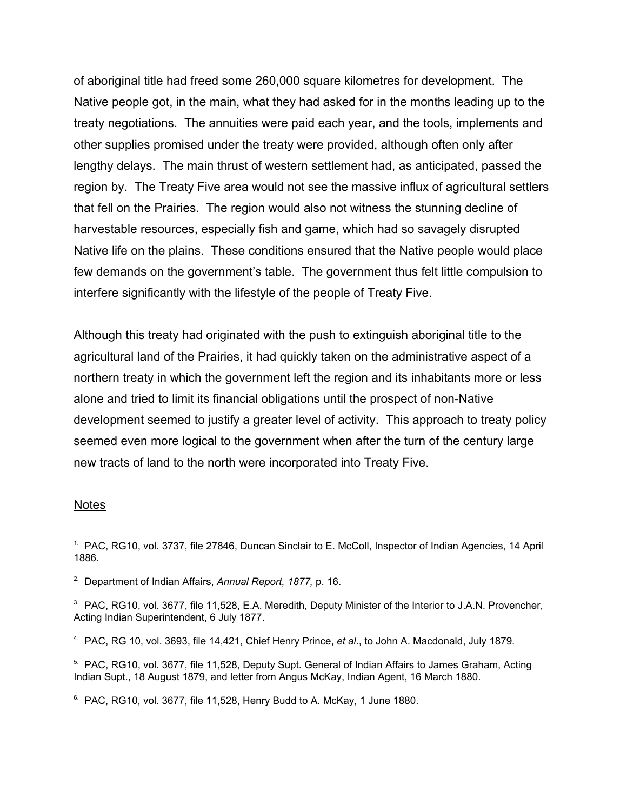of aboriginal title had freed some 260,000 square kilometres for development. The Native people got, in the main, what they had asked for in the months leading up to the treaty negotiations. The annuities were paid each year, and the tools, implements and other supplies promised under the treaty were provided, although often only after lengthy delays. The main thrust of western settlement had, as anticipated, passed the region by. The Treaty Five area would not see the massive influx of agricultural settlers that fell on the Prairies. The region would also not witness the stunning decline of harvestable resources, especially fish and game, which had so savagely disrupted Native life on the plains. These conditions ensured that the Native people would place few demands on the government's table. The government thus felt little compulsion to interfere significantly with the lifestyle of the people of Treaty Five.

Although this treaty had originated with the push to extinguish aboriginal title to the agricultural land of the Prairies, it had quickly taken on the administrative aspect of a northern treaty in which the government left the region and its inhabitants more or less alone and tried to limit its financial obligations until the prospect of non-Native development seemed to justify a greater level of activity. This approach to treaty policy seemed even more logical to the government when after the turn of the century large new tracts of land to the north were incorporated into Treaty Five.

#### Notes

<sup>1.</sup> PAC, RG10, vol. 3737, file 27846, Duncan Sinclair to E. McColl, Inspector of Indian Agencies, 14 April 1886.

2. Department of Indian Affairs, *Annual Report, 1877,* p. 16.

<sup>3.</sup> PAC, RG10, vol. 3677, file 11,528, E.A. Meredith, Deputy Minister of the Interior to J.A.N. Provencher, Acting Indian Superintendent, 6 July 1877.

4. PAC, RG 10, vol. 3693, file 14,421, Chief Henry Prince, *et al*., to John A. Macdonald, July 1879.

<sup>5.</sup> PAC, RG10, vol. 3677, file 11,528, Deputy Supt. General of Indian Affairs to James Graham, Acting Indian Supt., 18 August 1879, and letter from Angus McKay, Indian Agent, 16 March 1880.

 $6.$  PAC, RG10, vol. 3677, file 11,528, Henry Budd to A, McKay, 1 June 1880.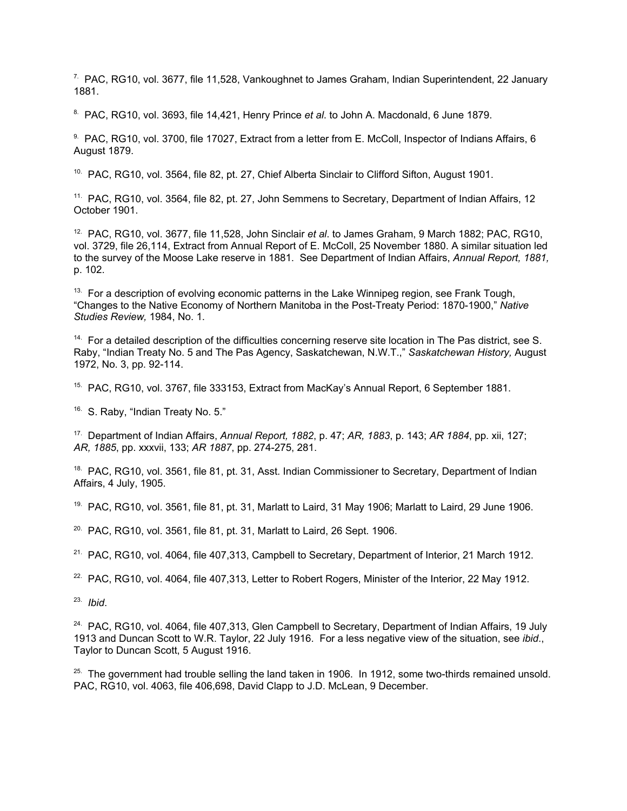$7.$  PAC, RG10, vol. 3677, file 11,528, Vankoughnet to James Graham, Indian Superintendent, 22 January 1881.

8. PAC, RG10, vol. 3693, file 14,421, Henry Prince *et al*. to John A. Macdonald, 6 June 1879.

9. PAC, RG10, vol. 3700, file 17027, Extract from a letter from E. McColl, Inspector of Indians Affairs, 6 August 1879.

<sup>10.</sup> PAC, RG10, vol. 3564, file 82, pt. 27, Chief Alberta Sinclair to Clifford Sifton, August 1901.

<sup>11.</sup> PAC, RG10, vol. 3564, file 82, pt. 27, John Semmens to Secretary, Department of Indian Affairs, 12 October 1901.

12. PAC, RG10, vol. 3677, file 11,528, John Sinclair *et al*. to James Graham, 9 March 1882; PAC, RG10, vol. 3729, file 26,114, Extract from Annual Report of E. McColl, 25 November 1880. A similar situation led to the survey of the Moose Lake reserve in 1881. See Department of Indian Affairs, *Annual Report, 1881,* p. 102.

<sup>13.</sup> For a description of evolving economic patterns in the Lake Winnipeg region, see Frank Tough, "Changes to the Native Economy of Northern Manitoba in the Post-Treaty Period: 1870-1900," *Native Studies Review,* 1984, No. 1.

 $14.$  For a detailed description of the difficulties concerning reserve site location in The Pas district, see S. Raby, "Indian Treaty No. 5 and The Pas Agency, Saskatchewan, N.W.T.," *Saskatchewan History,* August 1972, No. 3, pp. 92-114.

<sup>15.</sup> PAC, RG10, vol. 3767, file 333153, Extract from MacKay's Annual Report, 6 September 1881.

<sup>16.</sup> S. Raby, "Indian Treaty No. 5."

17. Department of Indian Affairs, *Annual Report, 1882*, p. 47; *AR, 1883*, p. 143; *AR 1884*, pp. xii, 127; *AR, 1885*, pp. xxxvii, 133; *AR 1887*, pp. 274-275, 281.

<sup>18.</sup> PAC, RG10, vol. 3561, file 81, pt. 31, Asst. Indian Commissioner to Secretary, Department of Indian Affairs, 4 July, 1905.

 $19.$  PAC, RG10, vol. 3561, file 81, pt. 31, Marlatt to Laird, 31 May 1906; Marlatt to Laird, 29 June 1906.

 $20.$  PAC, RG10, vol. 3561, file 81, pt. 31, Marlatt to Laird, 26 Sept. 1906.

 $21.$  PAC, RG10, vol. 4064, file 407,313, Campbell to Secretary, Department of Interior, 21 March 1912.

<sup>22.</sup> PAC, RG10, vol. 4064, file 407,313, Letter to Robert Rogers, Minister of the Interior, 22 May 1912.

23. *Ibid*.

 $24.$  PAC, RG10, vol. 4064, file 407,313, Glen Campbell to Secretary, Department of Indian Affairs, 19 July 1913 and Duncan Scott to W.R. Taylor, 22 July 1916. For a less negative view of the situation, see *ibid*., Taylor to Duncan Scott, 5 August 1916.

 $25.$  The government had trouble selling the land taken in 1906. In 1912, some two-thirds remained unsold. PAC, RG10, vol. 4063, file 406,698, David Clapp to J.D. McLean, 9 December.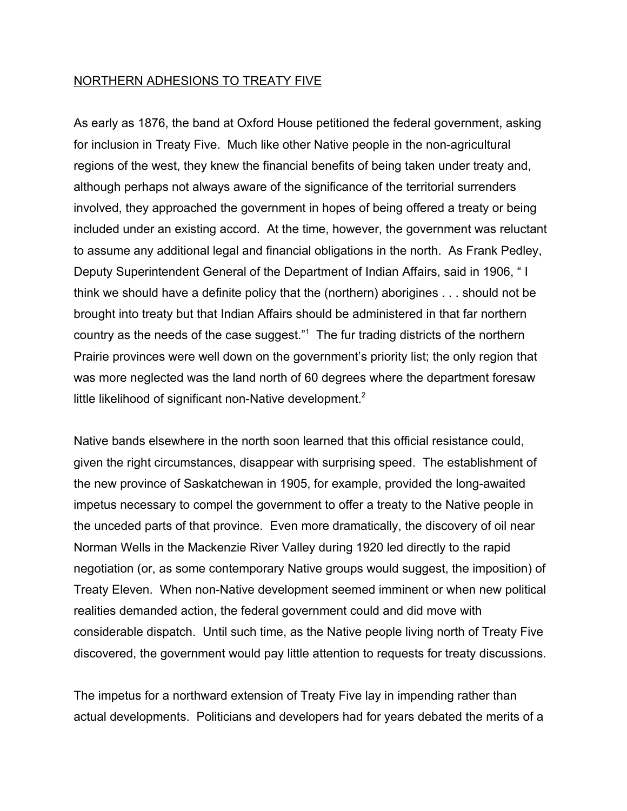## NORTHERN ADHESIONS TO TREATY FIVE

As early as 1876, the band at Oxford House petitioned the federal government, asking for inclusion in Treaty Five. Much like other Native people in the non-agricultural regions of the west, they knew the financial benefits of being taken under treaty and, although perhaps not always aware of the significance of the territorial surrenders involved, they approached the government in hopes of being offered a treaty or being included under an existing accord. At the time, however, the government was reluctant to assume any additional legal and financial obligations in the north. As Frank Pedley, Deputy Superintendent General of the Department of Indian Affairs, said in 1906, " I think we should have a definite policy that the (northern) aborigines . . . should not be brought into treaty but that Indian Affairs should be administered in that far northern country as the needs of the case suggest."<sup>1</sup> The fur trading districts of the northern Prairie provinces were well down on the government's priority list; the only region that was more neglected was the land north of 60 degrees where the department foresaw little likelihood of significant non-Native development.<sup>2</sup>

Native bands elsewhere in the north soon learned that this official resistance could, given the right circumstances, disappear with surprising speed. The establishment of the new province of Saskatchewan in 1905, for example, provided the long-awaited impetus necessary to compel the government to offer a treaty to the Native people in the unceded parts of that province. Even more dramatically, the discovery of oil near Norman Wells in the Mackenzie River Valley during 1920 led directly to the rapid negotiation (or, as some contemporary Native groups would suggest, the imposition) of Treaty Eleven. When non-Native development seemed imminent or when new political realities demanded action, the federal government could and did move with considerable dispatch. Until such time, as the Native people living north of Treaty Five discovered, the government would pay little attention to requests for treaty discussions.

The impetus for a northward extension of Treaty Five lay in impending rather than actual developments. Politicians and developers had for years debated the merits of a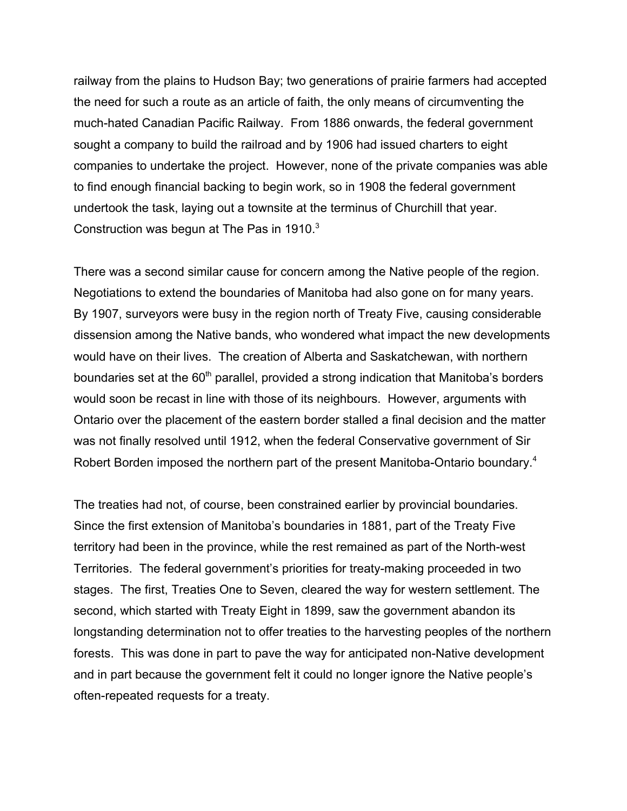railway from the plains to Hudson Bay; two generations of prairie farmers had accepted the need for such a route as an article of faith, the only means of circumventing the much-hated Canadian Pacific Railway. From 1886 onwards, the federal government sought a company to build the railroad and by 1906 had issued charters to eight companies to undertake the project. However, none of the private companies was able to find enough financial backing to begin work, so in 1908 the federal government undertook the task, laying out a townsite at the terminus of Churchill that year. Construction was begun at The Pas in 1910.<sup>3</sup>

There was a second similar cause for concern among the Native people of the region. Negotiations to extend the boundaries of Manitoba had also gone on for many years. By 1907, surveyors were busy in the region north of Treaty Five, causing considerable dissension among the Native bands, who wondered what impact the new developments would have on their lives. The creation of Alberta and Saskatchewan, with northern boundaries set at the  $60<sup>th</sup>$  parallel, provided a strong indication that Manitoba's borders would soon be recast in line with those of its neighbours. However, arguments with Ontario over the placement of the eastern border stalled a final decision and the matter was not finally resolved until 1912, when the federal Conservative government of Sir Robert Borden imposed the northern part of the present Manitoba-Ontario boundary.<sup>4</sup>

The treaties had not, of course, been constrained earlier by provincial boundaries. Since the first extension of Manitoba's boundaries in 1881, part of the Treaty Five territory had been in the province, while the rest remained as part of the North-west Territories. The federal government's priorities for treaty-making proceeded in two stages. The first, Treaties One to Seven, cleared the way for western settlement. The second, which started with Treaty Eight in 1899, saw the government abandon its longstanding determination not to offer treaties to the harvesting peoples of the northern forests. This was done in part to pave the way for anticipated non-Native development and in part because the government felt it could no longer ignore the Native people's often-repeated requests for a treaty.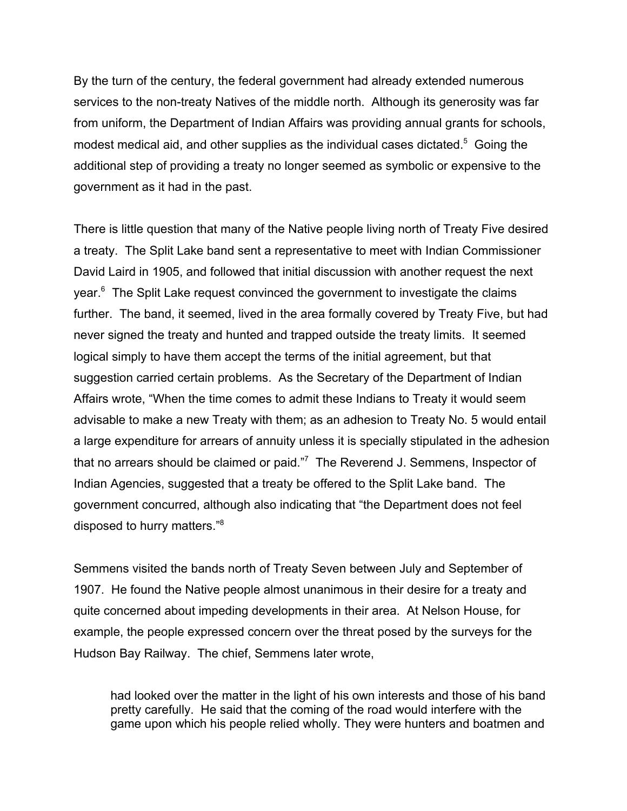By the turn of the century, the federal government had already extended numerous services to the non-treaty Natives of the middle north. Although its generosity was far from uniform, the Department of Indian Affairs was providing annual grants for schools, modest medical aid, and other supplies as the individual cases dictated.<sup>5</sup> Going the additional step of providing a treaty no longer seemed as symbolic or expensive to the government as it had in the past.

There is little question that many of the Native people living north of Treaty Five desired a treaty. The Split Lake band sent a representative to meet with Indian Commissioner David Laird in 1905, and followed that initial discussion with another request the next year.<sup>6</sup> The Split Lake request convinced the government to investigate the claims further. The band, it seemed, lived in the area formally covered by Treaty Five, but had never signed the treaty and hunted and trapped outside the treaty limits. It seemed logical simply to have them accept the terms of the initial agreement, but that suggestion carried certain problems. As the Secretary of the Department of Indian Affairs wrote, "When the time comes to admit these Indians to Treaty it would seem advisable to make a new Treaty with them; as an adhesion to Treaty No. 5 would entail a large expenditure for arrears of annuity unless it is specially stipulated in the adhesion that no arrears should be claimed or paid."<sup>7</sup> The Reverend J. Semmens, Inspector of Indian Agencies, suggested that a treaty be offered to the Split Lake band. The government concurred, although also indicating that "the Department does not feel disposed to hurry matters."8

Semmens visited the bands north of Treaty Seven between July and September of 1907. He found the Native people almost unanimous in their desire for a treaty and quite concerned about impeding developments in their area. At Nelson House, for example, the people expressed concern over the threat posed by the surveys for the Hudson Bay Railway. The chief, Semmens later wrote,

had looked over the matter in the light of his own interests and those of his band pretty carefully. He said that the coming of the road would interfere with the game upon which his people relied wholly. They were hunters and boatmen and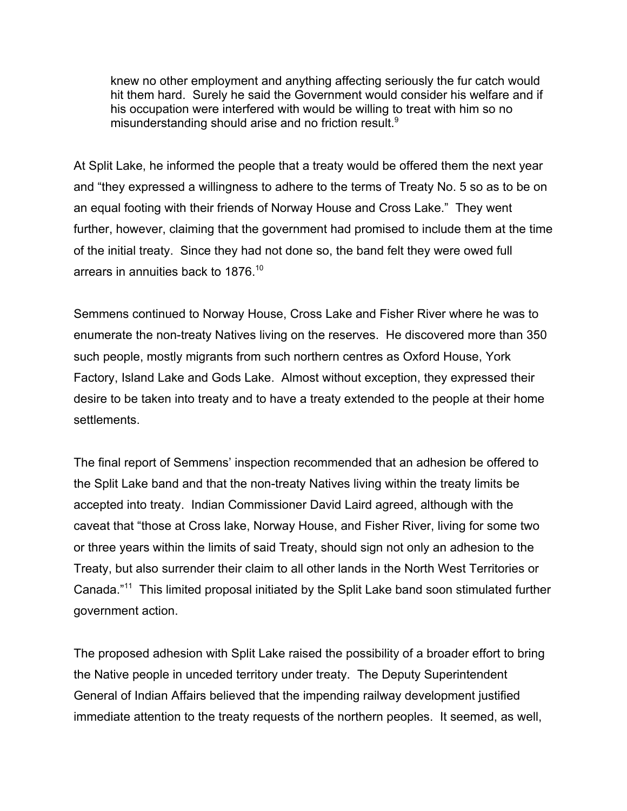knew no other employment and anything affecting seriously the fur catch would hit them hard. Surely he said the Government would consider his welfare and if his occupation were interfered with would be willing to treat with him so no misunderstanding should arise and no friction result.<sup>9</sup>

At Split Lake, he informed the people that a treaty would be offered them the next year and "they expressed a willingness to adhere to the terms of Treaty No. 5 so as to be on an equal footing with their friends of Norway House and Cross Lake." They went further, however, claiming that the government had promised to include them at the time of the initial treaty. Since they had not done so, the band felt they were owed full arrears in annuities back to 1876.10

Semmens continued to Norway House, Cross Lake and Fisher River where he was to enumerate the non-treaty Natives living on the reserves. He discovered more than 350 such people, mostly migrants from such northern centres as Oxford House, York Factory, Island Lake and Gods Lake. Almost without exception, they expressed their desire to be taken into treaty and to have a treaty extended to the people at their home settlements.

The final report of Semmens' inspection recommended that an adhesion be offered to the Split Lake band and that the non-treaty Natives living within the treaty limits be accepted into treaty. Indian Commissioner David Laird agreed, although with the caveat that "those at Cross lake, Norway House, and Fisher River, living for some two or three years within the limits of said Treaty, should sign not only an adhesion to the Treaty, but also surrender their claim to all other lands in the North West Territories or Canada."11 This limited proposal initiated by the Split Lake band soon stimulated further government action.

The proposed adhesion with Split Lake raised the possibility of a broader effort to bring the Native people in unceded territory under treaty. The Deputy Superintendent General of Indian Affairs believed that the impending railway development justified immediate attention to the treaty requests of the northern peoples. It seemed, as well,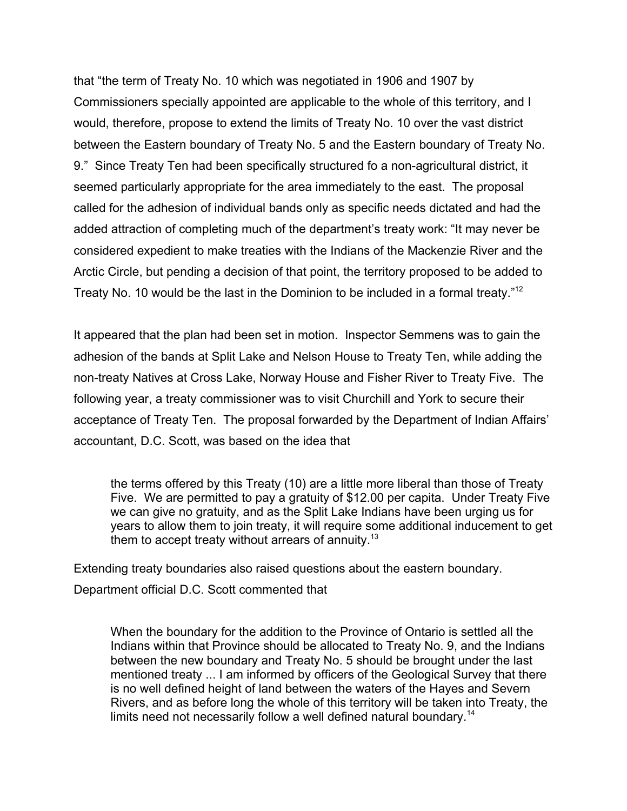that "the term of Treaty No. 10 which was negotiated in 1906 and 1907 by Commissioners specially appointed are applicable to the whole of this territory, and I would, therefore, propose to extend the limits of Treaty No. 10 over the vast district between the Eastern boundary of Treaty No. 5 and the Eastern boundary of Treaty No. 9." Since Treaty Ten had been specifically structured fo a non-agricultural district, it seemed particularly appropriate for the area immediately to the east. The proposal called for the adhesion of individual bands only as specific needs dictated and had the added attraction of completing much of the department's treaty work: "It may never be considered expedient to make treaties with the Indians of the Mackenzie River and the Arctic Circle, but pending a decision of that point, the territory proposed to be added to Treaty No. 10 would be the last in the Dominion to be included in a formal treaty."12

It appeared that the plan had been set in motion. Inspector Semmens was to gain the adhesion of the bands at Split Lake and Nelson House to Treaty Ten, while adding the non-treaty Natives at Cross Lake, Norway House and Fisher River to Treaty Five. The following year, a treaty commissioner was to visit Churchill and York to secure their acceptance of Treaty Ten. The proposal forwarded by the Department of Indian Affairs' accountant, D.C. Scott, was based on the idea that

the terms offered by this Treaty (10) are a little more liberal than those of Treaty Five. We are permitted to pay a gratuity of \$12.00 per capita. Under Treaty Five we can give no gratuity, and as the Split Lake Indians have been urging us for years to allow them to join treaty, it will require some additional inducement to get them to accept treaty without arrears of annuity.<sup>13</sup>

Extending treaty boundaries also raised questions about the eastern boundary. Department official D.C. Scott commented that

When the boundary for the addition to the Province of Ontario is settled all the Indians within that Province should be allocated to Treaty No. 9, and the Indians between the new boundary and Treaty No. 5 should be brought under the last mentioned treaty ... I am informed by officers of the Geological Survey that there is no well defined height of land between the waters of the Hayes and Severn Rivers, and as before long the whole of this territory will be taken into Treaty, the limits need not necessarily follow a well defined natural boundary.<sup>14</sup>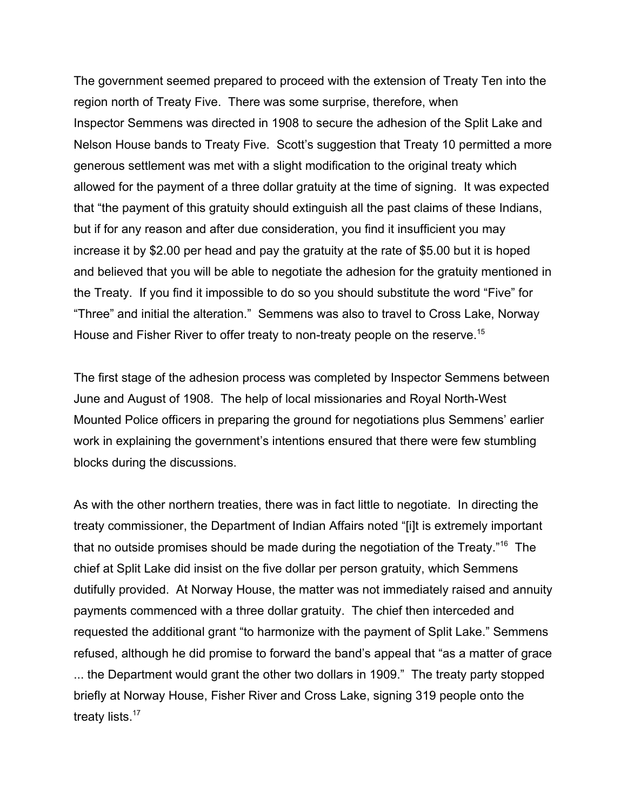The government seemed prepared to proceed with the extension of Treaty Ten into the region north of Treaty Five. There was some surprise, therefore, when Inspector Semmens was directed in 1908 to secure the adhesion of the Split Lake and Nelson House bands to Treaty Five. Scott's suggestion that Treaty 10 permitted a more generous settlement was met with a slight modification to the original treaty which allowed for the payment of a three dollar gratuity at the time of signing. It was expected that "the payment of this gratuity should extinguish all the past claims of these Indians, but if for any reason and after due consideration, you find it insufficient you may increase it by \$2.00 per head and pay the gratuity at the rate of \$5.00 but it is hoped and believed that you will be able to negotiate the adhesion for the gratuity mentioned in the Treaty. If you find it impossible to do so you should substitute the word "Five" for "Three" and initial the alteration." Semmens was also to travel to Cross Lake, Norway House and Fisher River to offer treaty to non-treaty people on the reserve.<sup>15</sup>

The first stage of the adhesion process was completed by Inspector Semmens between June and August of 1908. The help of local missionaries and Royal North-West Mounted Police officers in preparing the ground for negotiations plus Semmens' earlier work in explaining the government's intentions ensured that there were few stumbling blocks during the discussions.

As with the other northern treaties, there was in fact little to negotiate. In directing the treaty commissioner, the Department of Indian Affairs noted "[i]t is extremely important that no outside promises should be made during the negotiation of the Treaty."16 The chief at Split Lake did insist on the five dollar per person gratuity, which Semmens dutifully provided. At Norway House, the matter was not immediately raised and annuity payments commenced with a three dollar gratuity. The chief then interceded and requested the additional grant "to harmonize with the payment of Split Lake." Semmens refused, although he did promise to forward the band's appeal that "as a matter of grace ... the Department would grant the other two dollars in 1909." The treaty party stopped briefly at Norway House, Fisher River and Cross Lake, signing 319 people onto the treaty lists.<sup>17</sup>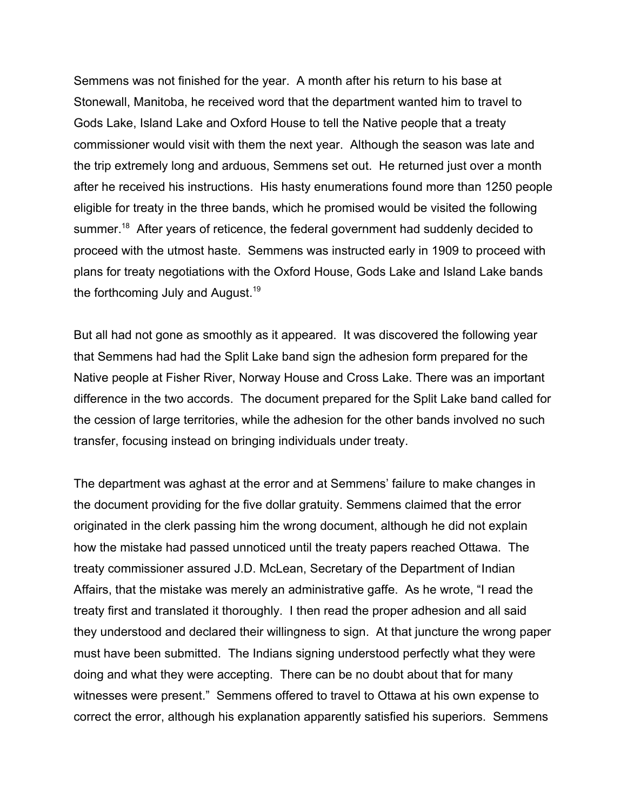Semmens was not finished for the year. A month after his return to his base at Stonewall, Manitoba, he received word that the department wanted him to travel to Gods Lake, Island Lake and Oxford House to tell the Native people that a treaty commissioner would visit with them the next year. Although the season was late and the trip extremely long and arduous, Semmens set out. He returned just over a month after he received his instructions. His hasty enumerations found more than 1250 people eligible for treaty in the three bands, which he promised would be visited the following summer.<sup>18</sup> After years of reticence, the federal government had suddenly decided to proceed with the utmost haste. Semmens was instructed early in 1909 to proceed with plans for treaty negotiations with the Oxford House, Gods Lake and Island Lake bands the forthcoming July and August.<sup>19</sup>

But all had not gone as smoothly as it appeared. It was discovered the following year that Semmens had had the Split Lake band sign the adhesion form prepared for the Native people at Fisher River, Norway House and Cross Lake. There was an important difference in the two accords. The document prepared for the Split Lake band called for the cession of large territories, while the adhesion for the other bands involved no such transfer, focusing instead on bringing individuals under treaty.

The department was aghast at the error and at Semmens' failure to make changes in the document providing for the five dollar gratuity. Semmens claimed that the error originated in the clerk passing him the wrong document, although he did not explain how the mistake had passed unnoticed until the treaty papers reached Ottawa. The treaty commissioner assured J.D. McLean, Secretary of the Department of Indian Affairs, that the mistake was merely an administrative gaffe. As he wrote, "I read the treaty first and translated it thoroughly. I then read the proper adhesion and all said they understood and declared their willingness to sign. At that juncture the wrong paper must have been submitted. The Indians signing understood perfectly what they were doing and what they were accepting. There can be no doubt about that for many witnesses were present." Semmens offered to travel to Ottawa at his own expense to correct the error, although his explanation apparently satisfied his superiors. Semmens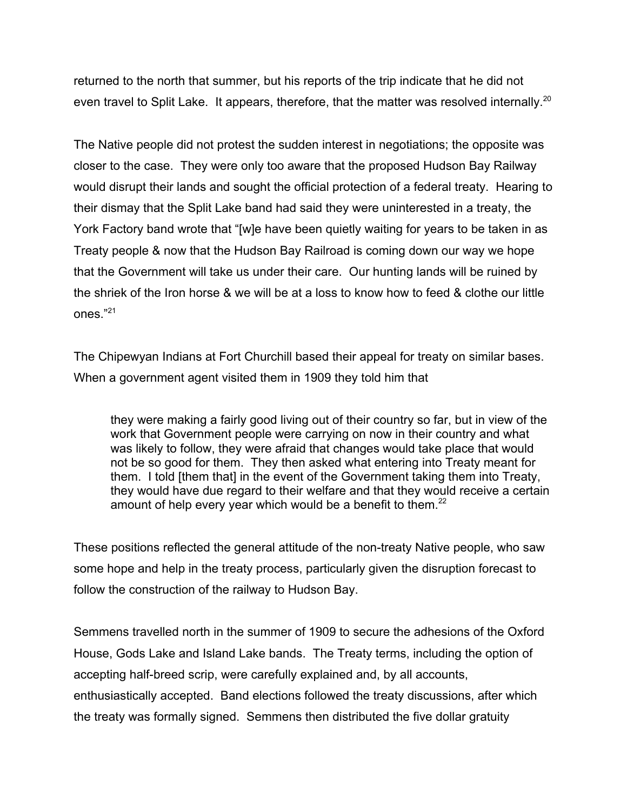returned to the north that summer, but his reports of the trip indicate that he did not even travel to Split Lake. It appears, therefore, that the matter was resolved internally.<sup>20</sup>

The Native people did not protest the sudden interest in negotiations; the opposite was closer to the case. They were only too aware that the proposed Hudson Bay Railway would disrupt their lands and sought the official protection of a federal treaty. Hearing to their dismay that the Split Lake band had said they were uninterested in a treaty, the York Factory band wrote that "[w]e have been quietly waiting for years to be taken in as Treaty people & now that the Hudson Bay Railroad is coming down our way we hope that the Government will take us under their care. Our hunting lands will be ruined by the shriek of the Iron horse & we will be at a loss to know how to feed & clothe our little ones."<sup>21</sup>

The Chipewyan Indians at Fort Churchill based their appeal for treaty on similar bases. When a government agent visited them in 1909 they told him that

they were making a fairly good living out of their country so far, but in view of the work that Government people were carrying on now in their country and what was likely to follow, they were afraid that changes would take place that would not be so good for them. They then asked what entering into Treaty meant for them. I told [them that] in the event of the Government taking them into Treaty, they would have due regard to their welfare and that they would receive a certain amount of help every year which would be a benefit to them. $^{22}$ 

These positions reflected the general attitude of the non-treaty Native people, who saw some hope and help in the treaty process, particularly given the disruption forecast to follow the construction of the railway to Hudson Bay.

Semmens travelled north in the summer of 1909 to secure the adhesions of the Oxford House, Gods Lake and Island Lake bands. The Treaty terms, including the option of accepting half-breed scrip, were carefully explained and, by all accounts, enthusiastically accepted. Band elections followed the treaty discussions, after which the treaty was formally signed. Semmens then distributed the five dollar gratuity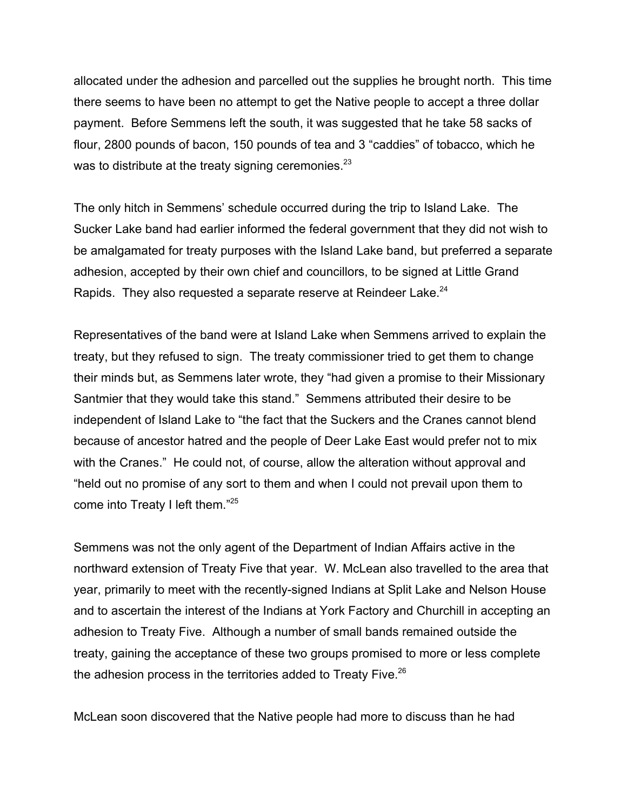allocated under the adhesion and parcelled out the supplies he brought north. This time there seems to have been no attempt to get the Native people to accept a three dollar payment. Before Semmens left the south, it was suggested that he take 58 sacks of flour, 2800 pounds of bacon, 150 pounds of tea and 3 "caddies" of tobacco, which he was to distribute at the treaty signing ceremonies. $^{23}$ 

The only hitch in Semmens' schedule occurred during the trip to Island Lake. The Sucker Lake band had earlier informed the federal government that they did not wish to be amalgamated for treaty purposes with the Island Lake band, but preferred a separate adhesion, accepted by their own chief and councillors, to be signed at Little Grand Rapids. They also requested a separate reserve at Reindeer Lake.<sup>24</sup>

Representatives of the band were at Island Lake when Semmens arrived to explain the treaty, but they refused to sign. The treaty commissioner tried to get them to change their minds but, as Semmens later wrote, they "had given a promise to their Missionary Santmier that they would take this stand." Semmens attributed their desire to be independent of Island Lake to "the fact that the Suckers and the Cranes cannot blend because of ancestor hatred and the people of Deer Lake East would prefer not to mix with the Cranes." He could not, of course, allow the alteration without approval and "held out no promise of any sort to them and when I could not prevail upon them to come into Treaty I left them."25

Semmens was not the only agent of the Department of Indian Affairs active in the northward extension of Treaty Five that year. W. McLean also travelled to the area that year, primarily to meet with the recently-signed Indians at Split Lake and Nelson House and to ascertain the interest of the Indians at York Factory and Churchill in accepting an adhesion to Treaty Five. Although a number of small bands remained outside the treaty, gaining the acceptance of these two groups promised to more or less complete the adhesion process in the territories added to Treaty Five.<sup>26</sup>

McLean soon discovered that the Native people had more to discuss than he had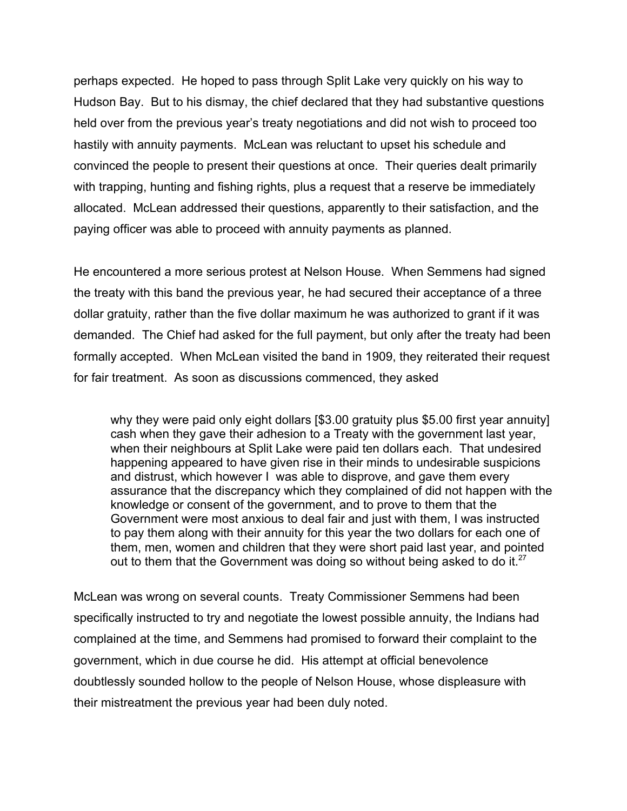perhaps expected. He hoped to pass through Split Lake very quickly on his way to Hudson Bay. But to his dismay, the chief declared that they had substantive questions held over from the previous year's treaty negotiations and did not wish to proceed too hastily with annuity payments. McLean was reluctant to upset his schedule and convinced the people to present their questions at once. Their queries dealt primarily with trapping, hunting and fishing rights, plus a request that a reserve be immediately allocated. McLean addressed their questions, apparently to their satisfaction, and the paying officer was able to proceed with annuity payments as planned.

He encountered a more serious protest at Nelson House. When Semmens had signed the treaty with this band the previous year, he had secured their acceptance of a three dollar gratuity, rather than the five dollar maximum he was authorized to grant if it was demanded. The Chief had asked for the full payment, but only after the treaty had been formally accepted. When McLean visited the band in 1909, they reiterated their request for fair treatment. As soon as discussions commenced, they asked

why they were paid only eight dollars [\$3.00 gratuity plus \$5.00 first year annuity] cash when they gave their adhesion to a Treaty with the government last year, when their neighbours at Split Lake were paid ten dollars each. That undesired happening appeared to have given rise in their minds to undesirable suspicions and distrust, which however I was able to disprove, and gave them every assurance that the discrepancy which they complained of did not happen with the knowledge or consent of the government, and to prove to them that the Government were most anxious to deal fair and just with them, I was instructed to pay them along with their annuity for this year the two dollars for each one of them, men, women and children that they were short paid last year, and pointed out to them that the Government was doing so without being asked to do it. $27$ 

McLean was wrong on several counts. Treaty Commissioner Semmens had been specifically instructed to try and negotiate the lowest possible annuity, the Indians had complained at the time, and Semmens had promised to forward their complaint to the government, which in due course he did. His attempt at official benevolence doubtlessly sounded hollow to the people of Nelson House, whose displeasure with their mistreatment the previous year had been duly noted.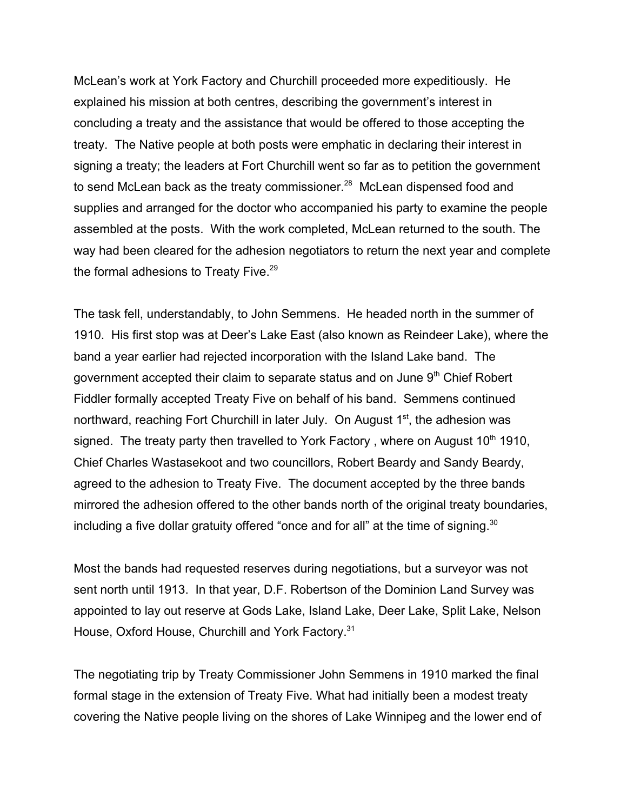McLean's work at York Factory and Churchill proceeded more expeditiously. He explained his mission at both centres, describing the government's interest in concluding a treaty and the assistance that would be offered to those accepting the treaty. The Native people at both posts were emphatic in declaring their interest in signing a treaty; the leaders at Fort Churchill went so far as to petition the government to send McLean back as the treaty commissioner.<sup>28</sup> McLean dispensed food and supplies and arranged for the doctor who accompanied his party to examine the people assembled at the posts. With the work completed, McLean returned to the south. The way had been cleared for the adhesion negotiators to return the next year and complete the formal adhesions to Treaty Five.<sup>29</sup>

The task fell, understandably, to John Semmens. He headed north in the summer of 1910. His first stop was at Deer's Lake East (also known as Reindeer Lake), where the band a year earlier had rejected incorporation with the Island Lake band. The government accepted their claim to separate status and on June  $9<sup>th</sup>$  Chief Robert Fiddler formally accepted Treaty Five on behalf of his band. Semmens continued northward, reaching Fort Churchill in later July. On August  $1<sup>st</sup>$ , the adhesion was signed. The treaty party then travelled to York Factory, where on August  $10<sup>th</sup> 1910$ , Chief Charles Wastasekoot and two councillors, Robert Beardy and Sandy Beardy, agreed to the adhesion to Treaty Five. The document accepted by the three bands mirrored the adhesion offered to the other bands north of the original treaty boundaries, including a five dollar gratuity offered "once and for all" at the time of signing. $30$ 

Most the bands had requested reserves during negotiations, but a surveyor was not sent north until 1913. In that year, D.F. Robertson of the Dominion Land Survey was appointed to lay out reserve at Gods Lake, Island Lake, Deer Lake, Split Lake, Nelson House, Oxford House, Churchill and York Factory.<sup>31</sup>

The negotiating trip by Treaty Commissioner John Semmens in 1910 marked the final formal stage in the extension of Treaty Five. What had initially been a modest treaty covering the Native people living on the shores of Lake Winnipeg and the lower end of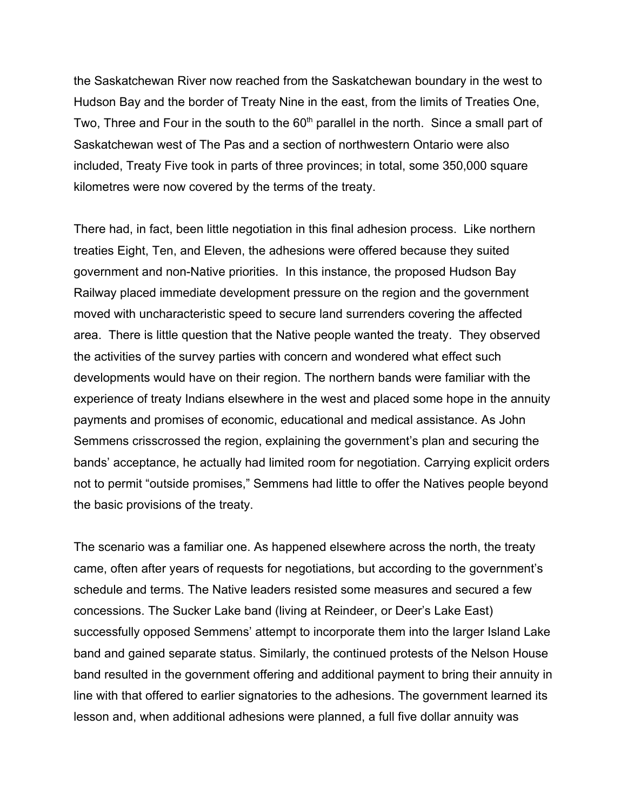the Saskatchewan River now reached from the Saskatchewan boundary in the west to Hudson Bay and the border of Treaty Nine in the east, from the limits of Treaties One, Two, Three and Four in the south to the  $60<sup>th</sup>$  parallel in the north. Since a small part of Saskatchewan west of The Pas and a section of northwestern Ontario were also included, Treaty Five took in parts of three provinces; in total, some 350,000 square kilometres were now covered by the terms of the treaty.

There had, in fact, been little negotiation in this final adhesion process. Like northern treaties Eight, Ten, and Eleven, the adhesions were offered because they suited government and non-Native priorities. In this instance, the proposed Hudson Bay Railway placed immediate development pressure on the region and the government moved with uncharacteristic speed to secure land surrenders covering the affected area. There is little question that the Native people wanted the treaty. They observed the activities of the survey parties with concern and wondered what effect such developments would have on their region. The northern bands were familiar with the experience of treaty Indians elsewhere in the west and placed some hope in the annuity payments and promises of economic, educational and medical assistance. As John Semmens crisscrossed the region, explaining the government's plan and securing the bands' acceptance, he actually had limited room for negotiation. Carrying explicit orders not to permit "outside promises," Semmens had little to offer the Natives people beyond the basic provisions of the treaty.

The scenario was a familiar one. As happened elsewhere across the north, the treaty came, often after years of requests for negotiations, but according to the government's schedule and terms. The Native leaders resisted some measures and secured a few concessions. The Sucker Lake band (living at Reindeer, or Deer's Lake East) successfully opposed Semmens' attempt to incorporate them into the larger Island Lake band and gained separate status. Similarly, the continued protests of the Nelson House band resulted in the government offering and additional payment to bring their annuity in line with that offered to earlier signatories to the adhesions. The government learned its lesson and, when additional adhesions were planned, a full five dollar annuity was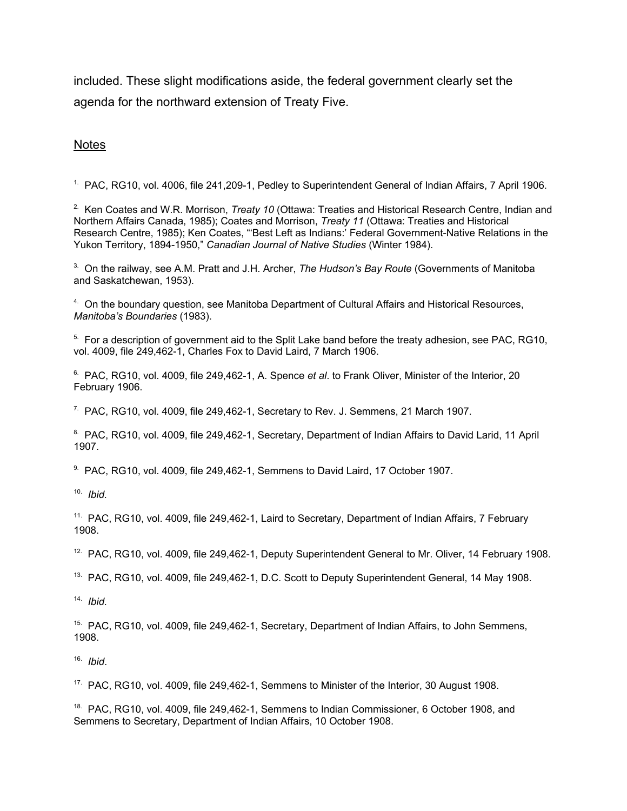included. These slight modifications aside, the federal government clearly set the agenda for the northward extension of Treaty Five.

#### **Notes**

<sup>1</sup>. PAC, RG10, vol. 4006, file 241, 209-1, Pedley to Superintendent General of Indian Affairs, 7 April 1906.

2. Ken Coates and W.R. Morrison, *Treaty 10* (Ottawa: Treaties and Historical Research Centre, Indian and Northern Affairs Canada, 1985); Coates and Morrison, *Treaty 11* (Ottawa: Treaties and Historical Research Centre, 1985); Ken Coates, "'Best Left as Indians:' Federal Government-Native Relations in the Yukon Territory, 1894-1950," *Canadian Journal of Native Studies* (Winter 1984).

3. On the railway, see A.M. Pratt and J.H. Archer, *The Hudson's Bay Route* (Governments of Manitoba and Saskatchewan, 1953).

<sup>4.</sup> On the boundary question, see Manitoba Department of Cultural Affairs and Historical Resources, *Manitoba's Boundaries* (1983).

<sup>5.</sup> For a description of government aid to the Split Lake band before the treaty adhesion, see PAC, RG10, vol. 4009, file 249,462-1, Charles Fox to David Laird, 7 March 1906.

6. PAC, RG10, vol. 4009, file 249,462-1, A. Spence *et al*. to Frank Oliver, Minister of the Interior, 20 February 1906.

 $7.$  PAC, RG10, vol. 4009, file 249,462-1, Secretary to Rev. J. Semmens, 21 March 1907.

<sup>8.</sup> PAC, RG10, vol. 4009, file 249,462-1, Secretary, Department of Indian Affairs to David Larid, 11 April 1907.

9. PAC, RG10, vol. 4009, file 249,462-1, Semmens to David Laird, 17 October 1907.

10. *Ibid.*

<sup>11.</sup> PAC, RG10, vol. 4009, file 249,462-1, Laird to Secretary, Department of Indian Affairs, 7 February 1908.

<sup>12.</sup> PAC, RG10, vol. 4009, file 249,462-1, Deputy Superintendent General to Mr. Oliver, 14 February 1908.

<sup>13.</sup> PAC, RG10, vol. 4009, file 249,462-1, D.C. Scott to Deputy Superintendent General, 14 May 1908.

14. *Ibid.*

<sup>15.</sup> PAC, RG10, vol. 4009, file 249,462-1, Secretary, Department of Indian Affairs, to John Semmens, 1908.

16. *Ibid*.

<sup>17.</sup> PAC, RG10, vol. 4009, file 249,462-1, Semmens to Minister of the Interior, 30 August 1908.

<sup>18.</sup> PAC, RG10, vol. 4009, file 249,462-1, Semmens to Indian Commissioner, 6 October 1908, and Semmens to Secretary, Department of Indian Affairs, 10 October 1908.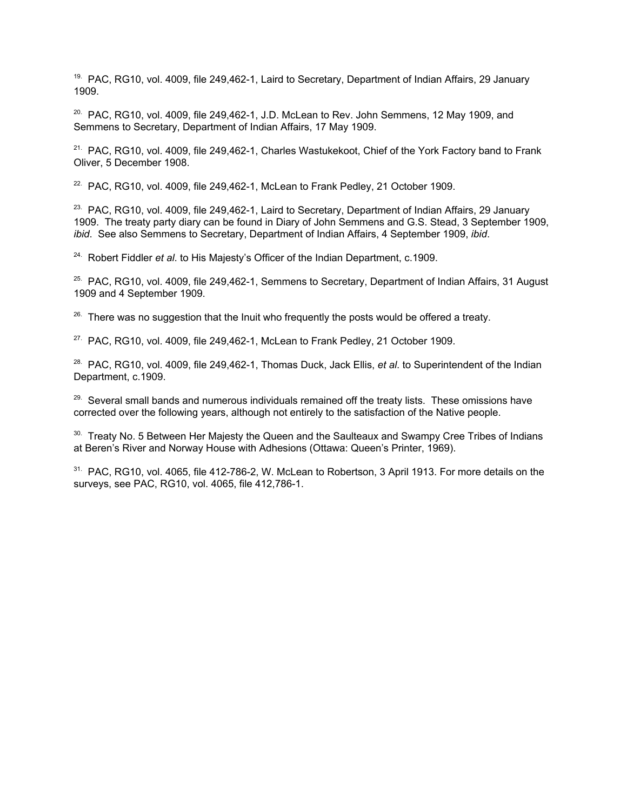<sup>19.</sup> PAC, RG10, vol. 4009, file 249,462-1, Laird to Secretary, Department of Indian Affairs, 29 January 1909.

 $20.$  PAC, RG10, vol. 4009, file 249,462-1, J.D. McLean to Rev. John Semmens, 12 May 1909, and Semmens to Secretary, Department of Indian Affairs, 17 May 1909.

 $21.$  PAC, RG10, vol. 4009, file 249,462-1, Charles Wastukekoot, Chief of the York Factory band to Frank Oliver, 5 December 1908.

 $22.$  PAC, RG10, vol. 4009, file 249,462-1, McLean to Frank Pedley, 21 October 1909.

<sup>23.</sup> PAC, RG10, vol. 4009, file 249,462-1, Laird to Secretary, Department of Indian Affairs, 29 January 1909. The treaty party diary can be found in Diary of John Semmens and G.S. Stead, 3 September 1909, *ibid*. See also Semmens to Secretary, Department of Indian Affairs, 4 September 1909, *ibid*.

24. Robert Fiddler *et al*. to His Majesty's Officer of the Indian Department, c.1909.

<sup>25.</sup> PAC, RG10, vol. 4009, file 249,462-1, Semmens to Secretary, Department of Indian Affairs, 31 August 1909 and 4 September 1909.

 $26.$  There was no suggestion that the Inuit who frequently the posts would be offered a treaty.

 $27.$  PAC, RG10, vol. 4009, file 249,462-1, McLean to Frank Pedley, 21 October 1909.

28. PAC, RG10, vol. 4009, file 249,462-1, Thomas Duck, Jack Ellis, *et al*. to Superintendent of the Indian Department, c.1909.

 $29.$  Several small bands and numerous individuals remained off the treaty lists. These omissions have corrected over the following years, although not entirely to the satisfaction of the Native people.

<sup>30.</sup> Treaty No. 5 Between Her Majesty the Queen and the Saulteaux and Swampy Cree Tribes of Indians at Beren's River and Norway House with Adhesions (Ottawa: Queen's Printer, 1969).

<sup>31.</sup> PAC, RG10, vol. 4065, file 412-786-2, W. McLean to Robertson, 3 April 1913. For more details on the surveys, see PAC, RG10, vol. 4065, file 412,786-1.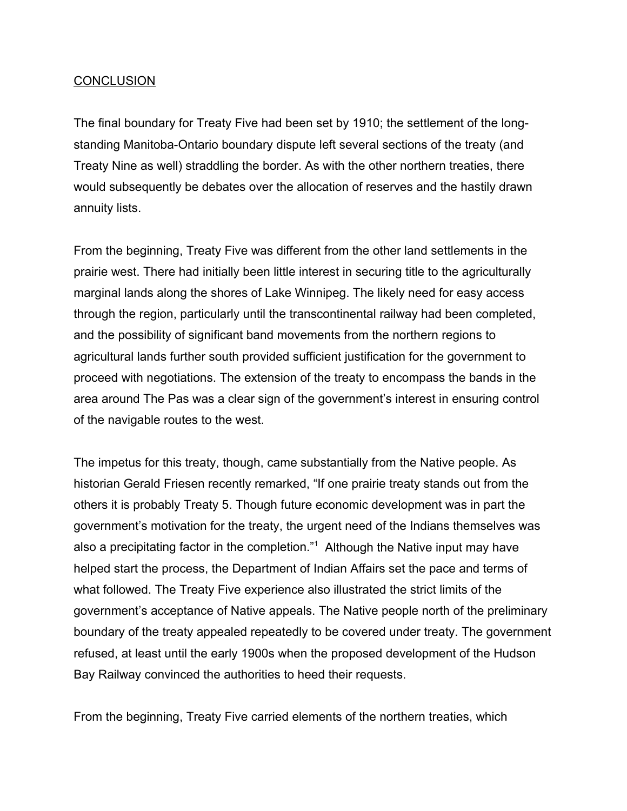# **CONCLUSION**

The final boundary for Treaty Five had been set by 1910; the settlement of the longstanding Manitoba-Ontario boundary dispute left several sections of the treaty (and Treaty Nine as well) straddling the border. As with the other northern treaties, there would subsequently be debates over the allocation of reserves and the hastily drawn annuity lists.

From the beginning, Treaty Five was different from the other land settlements in the prairie west. There had initially been little interest in securing title to the agriculturally marginal lands along the shores of Lake Winnipeg. The likely need for easy access through the region, particularly until the transcontinental railway had been completed, and the possibility of significant band movements from the northern regions to agricultural lands further south provided sufficient justification for the government to proceed with negotiations. The extension of the treaty to encompass the bands in the area around The Pas was a clear sign of the government's interest in ensuring control of the navigable routes to the west.

The impetus for this treaty, though, came substantially from the Native people. As historian Gerald Friesen recently remarked, "If one prairie treaty stands out from the others it is probably Treaty 5. Though future economic development was in part the government's motivation for the treaty, the urgent need of the Indians themselves was also a precipitating factor in the completion."<sup>1</sup> Although the Native input may have helped start the process, the Department of Indian Affairs set the pace and terms of what followed. The Treaty Five experience also illustrated the strict limits of the government's acceptance of Native appeals. The Native people north of the preliminary boundary of the treaty appealed repeatedly to be covered under treaty. The government refused, at least until the early 1900s when the proposed development of the Hudson Bay Railway convinced the authorities to heed their requests.

From the beginning, Treaty Five carried elements of the northern treaties, which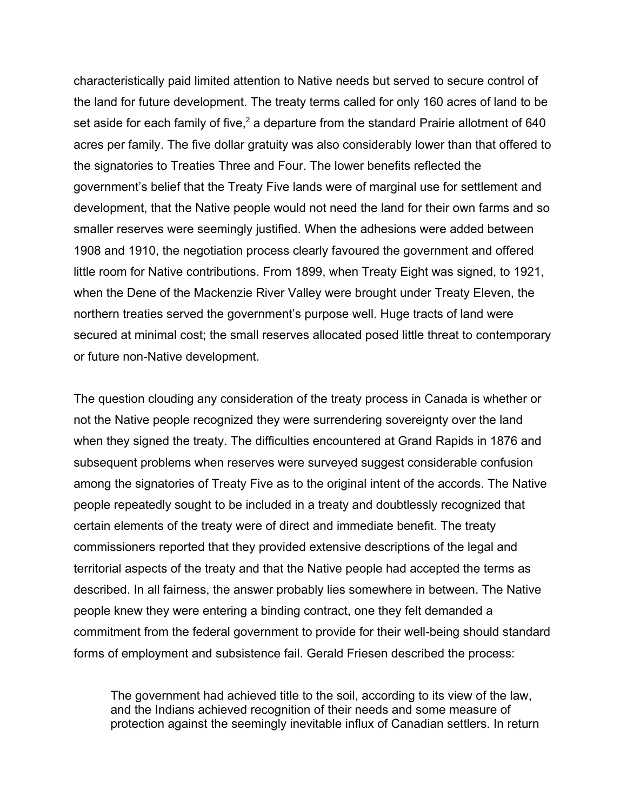characteristically paid limited attention to Native needs but served to secure control of the land for future development. The treaty terms called for only 160 acres of land to be set aside for each family of five,<sup>2</sup> a departure from the standard Prairie allotment of 640 acres per family. The five dollar gratuity was also considerably lower than that offered to the signatories to Treaties Three and Four. The lower benefits reflected the government's belief that the Treaty Five lands were of marginal use for settlement and development, that the Native people would not need the land for their own farms and so smaller reserves were seemingly justified. When the adhesions were added between 1908 and 1910, the negotiation process clearly favoured the government and offered little room for Native contributions. From 1899, when Treaty Eight was signed, to 1921, when the Dene of the Mackenzie River Valley were brought under Treaty Eleven, the northern treaties served the government's purpose well. Huge tracts of land were secured at minimal cost; the small reserves allocated posed little threat to contemporary or future non-Native development.

The question clouding any consideration of the treaty process in Canada is whether or not the Native people recognized they were surrendering sovereignty over the land when they signed the treaty. The difficulties encountered at Grand Rapids in 1876 and subsequent problems when reserves were surveyed suggest considerable confusion among the signatories of Treaty Five as to the original intent of the accords. The Native people repeatedly sought to be included in a treaty and doubtlessly recognized that certain elements of the treaty were of direct and immediate benefit. The treaty commissioners reported that they provided extensive descriptions of the legal and territorial aspects of the treaty and that the Native people had accepted the terms as described. In all fairness, the answer probably lies somewhere in between. The Native people knew they were entering a binding contract, one they felt demanded a commitment from the federal government to provide for their well-being should standard forms of employment and subsistence fail. Gerald Friesen described the process:

The government had achieved title to the soil, according to its view of the law, and the Indians achieved recognition of their needs and some measure of protection against the seemingly inevitable influx of Canadian settlers. In return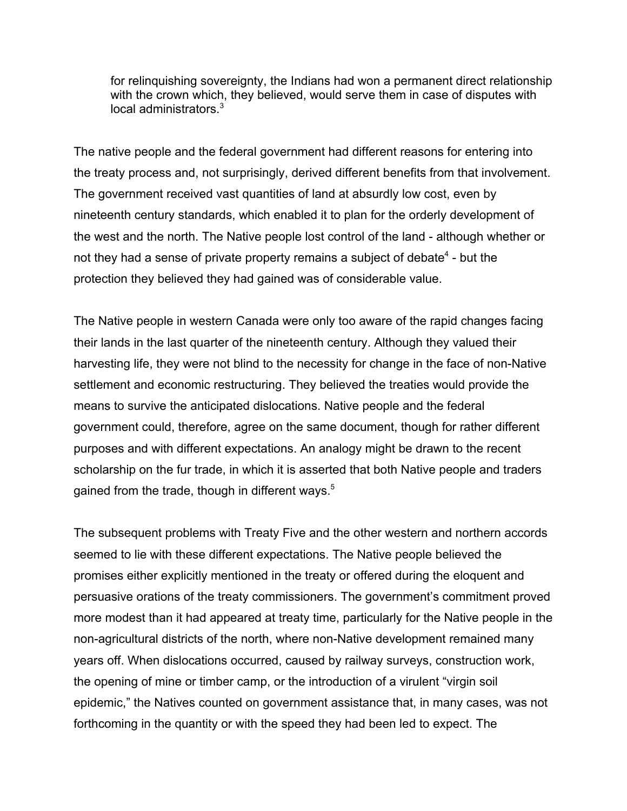for relinquishing sovereignty, the Indians had won a permanent direct relationship with the crown which, they believed, would serve them in case of disputes with local administrators.<sup>3</sup>

The native people and the federal government had different reasons for entering into the treaty process and, not surprisingly, derived different benefits from that involvement. The government received vast quantities of land at absurdly low cost, even by nineteenth century standards, which enabled it to plan for the orderly development of the west and the north. The Native people lost control of the land - although whether or not they had a sense of private property remains a subject of debate<sup>4</sup> - but the protection they believed they had gained was of considerable value.

The Native people in western Canada were only too aware of the rapid changes facing their lands in the last quarter of the nineteenth century. Although they valued their harvesting life, they were not blind to the necessity for change in the face of non-Native settlement and economic restructuring. They believed the treaties would provide the means to survive the anticipated dislocations. Native people and the federal government could, therefore, agree on the same document, though for rather different purposes and with different expectations. An analogy might be drawn to the recent scholarship on the fur trade, in which it is asserted that both Native people and traders gained from the trade, though in different ways.<sup>5</sup>

The subsequent problems with Treaty Five and the other western and northern accords seemed to lie with these different expectations. The Native people believed the promises either explicitly mentioned in the treaty or offered during the eloquent and persuasive orations of the treaty commissioners. The government's commitment proved more modest than it had appeared at treaty time, particularly for the Native people in the non-agricultural districts of the north, where non-Native development remained many years off. When dislocations occurred, caused by railway surveys, construction work, the opening of mine or timber camp, or the introduction of a virulent "virgin soil epidemic," the Natives counted on government assistance that, in many cases, was not forthcoming in the quantity or with the speed they had been led to expect. The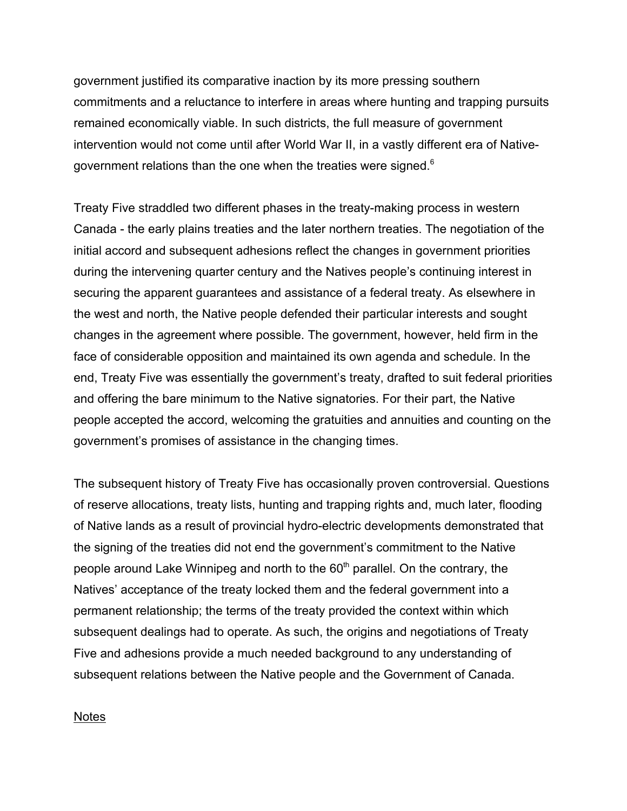government justified its comparative inaction by its more pressing southern commitments and a reluctance to interfere in areas where hunting and trapping pursuits remained economically viable. In such districts, the full measure of government intervention would not come until after World War II, in a vastly different era of Nativegovernment relations than the one when the treaties were signed.<sup>6</sup>

Treaty Five straddled two different phases in the treaty-making process in western Canada - the early plains treaties and the later northern treaties. The negotiation of the initial accord and subsequent adhesions reflect the changes in government priorities during the intervening quarter century and the Natives people's continuing interest in securing the apparent guarantees and assistance of a federal treaty. As elsewhere in the west and north, the Native people defended their particular interests and sought changes in the agreement where possible. The government, however, held firm in the face of considerable opposition and maintained its own agenda and schedule. In the end, Treaty Five was essentially the government's treaty, drafted to suit federal priorities and offering the bare minimum to the Native signatories. For their part, the Native people accepted the accord, welcoming the gratuities and annuities and counting on the government's promises of assistance in the changing times.

The subsequent history of Treaty Five has occasionally proven controversial. Questions of reserve allocations, treaty lists, hunting and trapping rights and, much later, flooding of Native lands as a result of provincial hydro-electric developments demonstrated that the signing of the treaties did not end the government's commitment to the Native people around Lake Winnipeg and north to the 60<sup>th</sup> parallel. On the contrary, the Natives' acceptance of the treaty locked them and the federal government into a permanent relationship; the terms of the treaty provided the context within which subsequent dealings had to operate. As such, the origins and negotiations of Treaty Five and adhesions provide a much needed background to any understanding of subsequent relations between the Native people and the Government of Canada.

### **Notes**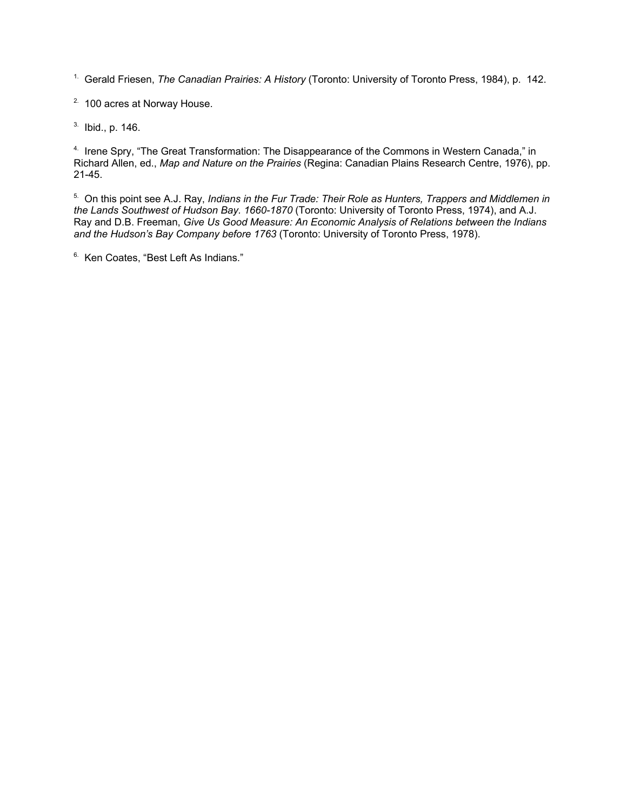1. Gerald Friesen, *The Canadian Prairies: A History* (Toronto: University of Toronto Press, 1984), p. 142.

2. 100 acres at Norway House.

3. Ibid., p. 146.

<sup>4.</sup> Irene Spry, "The Great Transformation: The Disappearance of the Commons in Western Canada," in Richard Allen, ed., *Map and Nature on the Prairies* (Regina: Canadian Plains Research Centre, 1976), pp. 21-45.

5. On this point see A.J. Ray, *Indians in the Fur Trade: Their Role as Hunters, Trappers and Middlemen in the Lands Southwest of Hudson Bay. 1660-1870* (Toronto: University of Toronto Press, 1974), and A.J. Ray and D.B. Freeman, *Give Us Good Measure: An Economic Analysis of Relations between the Indians and the Hudson's Bay Company before 1763* (Toronto: University of Toronto Press, 1978).

<sup>6.</sup> Ken Coates, "Best Left As Indians."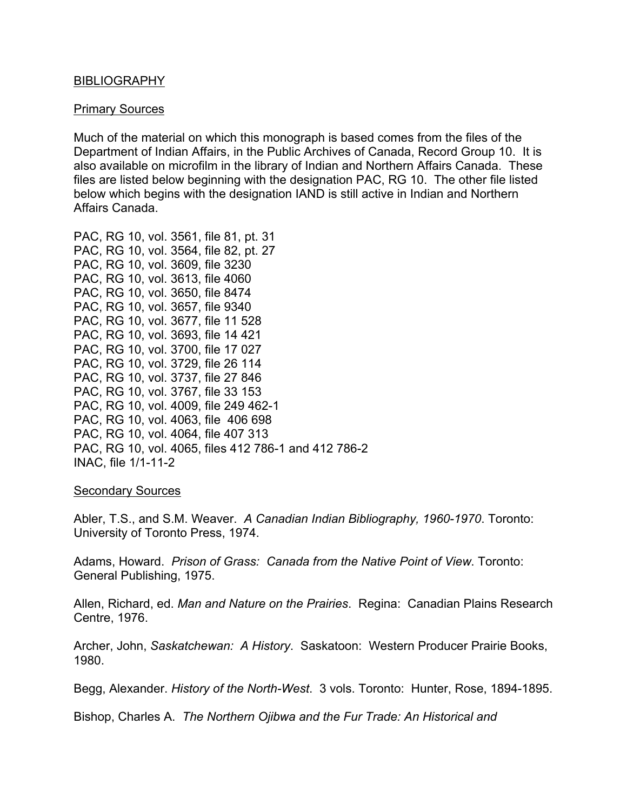### BIBLIOGRAPHY

#### Primary Sources

Much of the material on which this monograph is based comes from the files of the Department of Indian Affairs, in the Public Archives of Canada, Record Group 10. It is also available on microfilm in the library of Indian and Northern Affairs Canada. These files are listed below beginning with the designation PAC, RG 10. The other file listed below which begins with the designation IAND is still active in Indian and Northern Affairs Canada.

PAC, RG 10, vol. 3561, file 81, pt. 31 PAC, RG 10, vol. 3564, file 82, pt. 27 PAC, RG 10, vol. 3609, file 3230 PAC, RG 10, vol. 3613, file 4060 PAC, RG 10, vol. 3650, file 8474 PAC, RG 10, vol. 3657, file 9340 PAC, RG 10, vol. 3677, file 11 528 PAC, RG 10, vol. 3693, file 14 421 PAC, RG 10, vol. 3700, file 17 027 PAC, RG 10, vol. 3729, file 26 114 PAC, RG 10, vol. 3737, file 27 846 PAC, RG 10, vol. 3767, file 33 153 PAC, RG 10, vol. 4009, file 249 462-1 PAC, RG 10, vol. 4063, file 406 698 PAC, RG 10, vol. 4064, file 407 313 PAC, RG 10, vol. 4065, files 412 786-1 and 412 786-2 INAC, file 1/1-11-2

#### Secondary Sources

Abler, T.S., and S.M. Weaver. *A Canadian Indian Bibliography, 1960-1970*. Toronto: University of Toronto Press, 1974.

Adams, Howard. *Prison of Grass: Canada from the Native Point of View*. Toronto: General Publishing, 1975.

Allen, Richard, ed. *Man and Nature on the Prairies*. Regina: Canadian Plains Research Centre, 1976.

Archer, John, *Saskatchewan: A History*. Saskatoon: Western Producer Prairie Books, 1980.

Begg, Alexander. *History of the North-West*. 3 vols. Toronto: Hunter, Rose, 1894-1895.

Bishop, Charles A. *The Northern Ojibwa and the Fur Trade: An Historical and*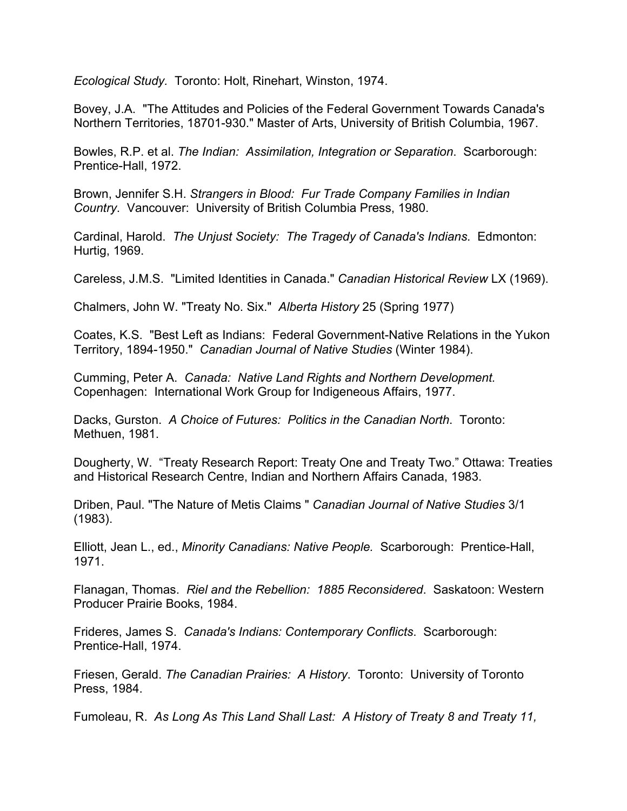*Ecological Study.* Toronto: Holt, Rinehart, Winston, 1974.

Bovey, J.A. "The Attitudes and Policies of the Federal Government Towards Canada's Northern Territories, 18701-930." Master of Arts, University of British Columbia, 1967.

Bowles, R.P. et al. *The Indian: Assimilation, Integration or Separation*. Scarborough: Prentice-Hall, 1972.

Brown, Jennifer S.H. *Strangers in Blood: Fur Trade Company Families in Indian Country*. Vancouver: University of British Columbia Press, 1980.

Cardinal, Harold. *The Unjust Society: The Tragedy of Canada's Indians*. Edmonton: Hurtig, 1969.

Careless, J.M.S. "Limited Identities in Canada." *Canadian Historical Review* LX (1969).

Chalmers, John W. "Treaty No. Six." *Alberta History* 25 (Spring 1977)

Coates, K.S. "Best Left as Indians: Federal Government-Native Relations in the Yukon Territory, 1894-1950." *Canadian Journal of Native Studies* (Winter 1984).

Cumming, Peter A. *Canada: Native Land Rights and Northern Development.* Copenhagen: International Work Group for Indigeneous Affairs, 1977.

Dacks, Gurston. *A Choice of Futures: Politics in the Canadian North*. Toronto: Methuen, 1981.

Dougherty, W. "Treaty Research Report: Treaty One and Treaty Two." Ottawa: Treaties and Historical Research Centre, Indian and Northern Affairs Canada, 1983.

Driben, Paul. "The Nature of Metis Claims " *Canadian Journal of Native Studies* 3/1 (1983).

Elliott, Jean L., ed., *Minority Canadians: Native People.* Scarborough: Prentice-Hall, 1971.

Flanagan, Thomas. *Riel and the Rebellion: 1885 Reconsidered*. Saskatoon: Western Producer Prairie Books, 1984.

Frideres, James S. *Canada's Indians: Contemporary Conflicts*. Scarborough: Prentice-Hall, 1974.

Friesen, Gerald. *The Canadian Prairies: A History*. Toronto: University of Toronto Press, 1984.

Fumoleau, R. *As Long As This Land Shall Last: A History of Treaty 8 and Treaty 11,*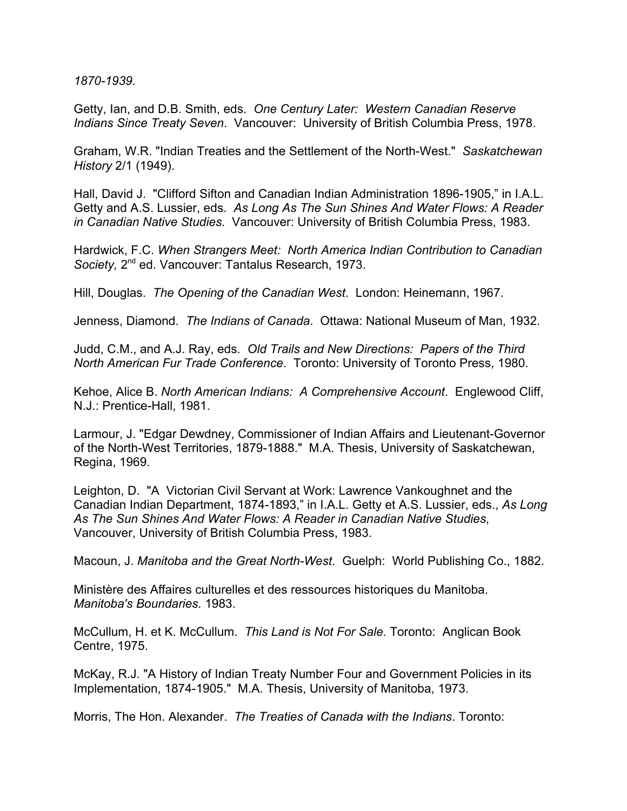*1870-1939.*

Getty, Ian, and D.B. Smith, eds. *One Century Later: Western Canadian Reserve Indians Since Treaty Seven*. Vancouver: University of British Columbia Press, 1978.

Graham, W.R. "Indian Treaties and the Settlement of the North-West." *Saskatchewan History* 2/1 (1949).

Hall, David J. "Clifford Sifton and Canadian Indian Administration 1896-1905," in I.A.L. Getty and A.S. Lussier, eds. *As Long As The Sun Shines And Water Flows: A Reader in Canadian Native Studies.* Vancouver: University of British Columbia Press, 1983.

Hardwick, F.C. *When Strangers Meet: North America Indian Contribution to Canadian* Society, 2<sup>nd</sup> ed. Vancouver: Tantalus Research, 1973.

Hill, Douglas. *The Opening of the Canadian West*. London: Heinemann, 1967.

Jenness, Diamond. *The Indians of Canada*. Ottawa: National Museum of Man, 1932.

Judd, C.M., and A.J. Ray, eds. *Old Trails and New Directions: Papers of the Third North American Fur Trade Conference*. Toronto: University of Toronto Press, 1980.

Kehoe, Alice B. *North American Indians: A Comprehensive Account*. Englewood Cliff, N.J.: Prentice-Hall, 1981.

Larmour, J. "Edgar Dewdney, Commissioner of Indian Affairs and Lieutenant-Governor of the North-West Territories, 1879-1888." M.A. Thesis, University of Saskatchewan, Regina, 1969.

Leighton, D. "A Victorian Civil Servant at Work: Lawrence Vankoughnet and the Canadian Indian Department, 1874-1893," in I.A.L. Getty et A.S. Lussier, eds., *As Long As The Sun Shines And Water Flows: A Reader in Canadian Native Studies*, Vancouver, University of British Columbia Press, 1983.

Macoun, J. *Manitoba and the Great North-West*. Guelph: World Publishing Co., 1882.

Ministère des Affaires culturelles et des ressources historiques du Manitoba. *Manitoba's Boundaries.* 1983.

McCullum, H. et K. McCullum. *This Land is Not For Sale.* Toronto: Anglican Book Centre, 1975.

McKay, R.J. "A History of Indian Treaty Number Four and Government Policies in its Implementation, 1874-1905." M.A. Thesis, University of Manitoba, 1973.

Morris, The Hon. Alexander. *The Treaties of Canada with the Indians*. Toronto: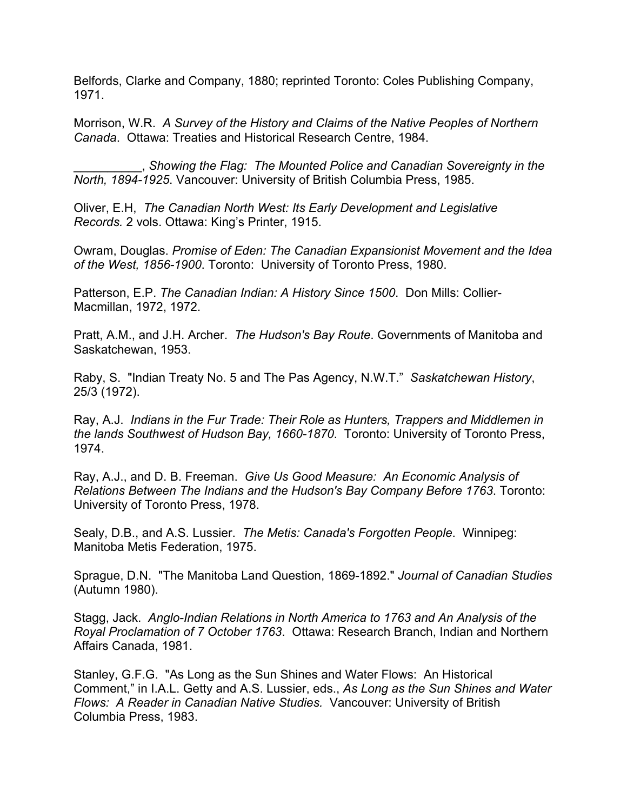Belfords, Clarke and Company, 1880; reprinted Toronto: Coles Publishing Company, 1971.

Morrison, W.R. *A Survey of the History and Claims of the Native Peoples of Northern Canada*. Ottawa: Treaties and Historical Research Centre, 1984.

\_\_\_\_\_\_\_\_\_\_, *Showing the Flag: The Mounted Police and Canadian Sovereignty in the North, 1894-1925*. Vancouver: University of British Columbia Press, 1985.

Oliver, E.H, *The Canadian North West: Its Early Development and Legislative Records.* 2 vols. Ottawa: King's Printer, 1915.

Owram, Douglas. *Promise of Eden: The Canadian Expansionist Movement and the Idea of the West, 1856-1900*. Toronto: University of Toronto Press, 1980.

Patterson, E.P. *The Canadian Indian: A History Since 1500*. Don Mills: Collier-Macmillan, 1972, 1972.

Pratt, A.M., and J.H. Archer. *The Hudson's Bay Route*. Governments of Manitoba and Saskatchewan, 1953.

Raby, S. "Indian Treaty No. 5 and The Pas Agency, N.W.T." *Saskatchewan History*, 25/3 (1972).

Ray, A.J. *Indians in the Fur Trade: Their Role as Hunters, Trappers and Middlemen in the lands Southwest of Hudson Bay, 1660-1870*. Toronto: University of Toronto Press, 1974.

Ray, A.J., and D. B. Freeman. *Give Us Good Measure: An Economic Analysis of Relations Between The Indians and the Hudson's Bay Company Before 1763*. Toronto: University of Toronto Press, 1978.

Sealy, D.B., and A.S. Lussier. *The Metis: Canada's Forgotten People*. Winnipeg: Manitoba Metis Federation, 1975.

Sprague, D.N. "The Manitoba Land Question, 1869-1892." *Journal of Canadian Studies* (Autumn 1980).

Stagg, Jack. *Anglo-Indian Relations in North America to 1763 and An Analysis of the Royal Proclamation of 7 October 1763*. Ottawa: Research Branch, Indian and Northern Affairs Canada, 1981.

Stanley, G.F.G. "As Long as the Sun Shines and Water Flows: An Historical Comment," in I.A.L. Getty and A.S. Lussier, eds., *As Long as the Sun Shines and Water Flows: A Reader in Canadian Native Studies.* Vancouver: University of British Columbia Press, 1983.